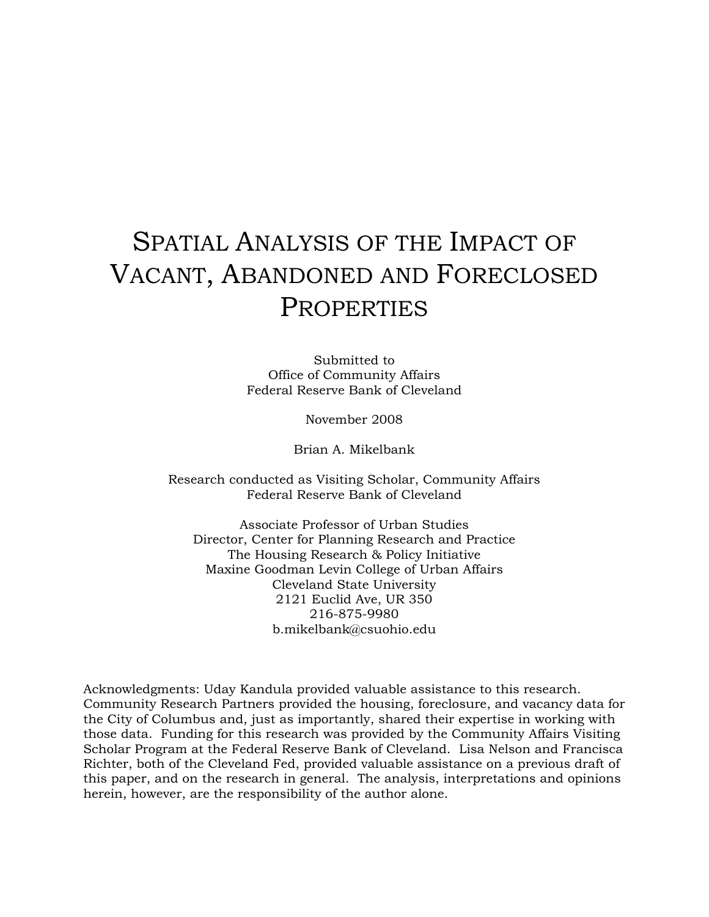# SPATIAL ANALYSIS OF THE IMPACT OF VACANT, ABANDONED AND FORECLOSED PROPERTIES

Submitted to Office of Community Affairs Federal Reserve Bank of Cleveland

November 2008

Brian A. Mikelbank

Research conducted as Visiting Scholar, Community Affairs Federal Reserve Bank of Cleveland

Associate Professor of Urban Studies Director, Center for Planning Research and Practice The Housing Research & Policy Initiative Maxine Goodman Levin College of Urban Affairs Cleveland State University 2121 Euclid Ave, UR 350 216-875-9980 b.mikelbank@csuohio.edu

Acknowledgments: Uday Kandula provided valuable assistance to this research. Community Research Partners provided the housing, foreclosure, and vacancy data for the City of Columbus and, just as importantly, shared their expertise in working with those data. Funding for this research was provided by the Community Affairs Visiting Scholar Program at the Federal Reserve Bank of Cleveland. Lisa Nelson and Francisca Richter, both of the Cleveland Fed, provided valuable assistance on a previous draft of this paper, and on the research in general. The analysis, interpretations and opinions herein, however, are the responsibility of the author alone.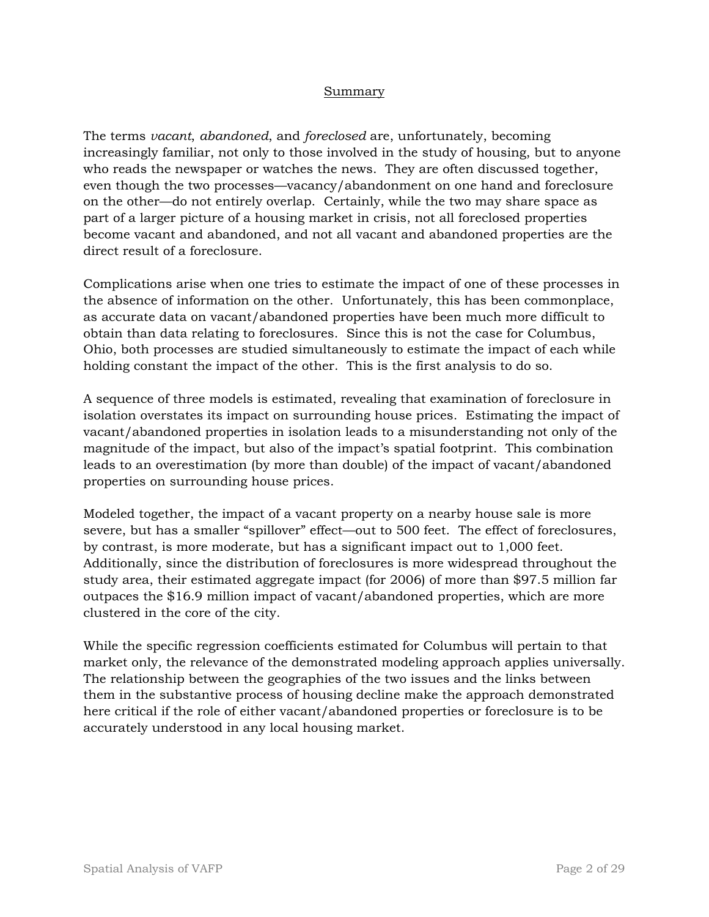#### Summary

The terms *vacant*, *abandoned*, and *foreclosed* are, unfortunately, becoming increasingly familiar, not only to those involved in the study of housing, but to anyone who reads the newspaper or watches the news. They are often discussed together, even though the two processes—vacancy/abandonment on one hand and foreclosure on the other—do not entirely overlap. Certainly, while the two may share space as part of a larger picture of a housing market in crisis, not all foreclosed properties become vacant and abandoned, and not all vacant and abandoned properties are the direct result of a foreclosure.

Complications arise when one tries to estimate the impact of one of these processes in the absence of information on the other. Unfortunately, this has been commonplace, as accurate data on vacant/abandoned properties have been much more difficult to obtain than data relating to foreclosures. Since this is not the case for Columbus, Ohio, both processes are studied simultaneously to estimate the impact of each while holding constant the impact of the other. This is the first analysis to do so.

A sequence of three models is estimated, revealing that examination of foreclosure in isolation overstates its impact on surrounding house prices. Estimating the impact of vacant/abandoned properties in isolation leads to a misunderstanding not only of the magnitude of the impact, but also of the impact's spatial footprint. This combination leads to an overestimation (by more than double) of the impact of vacant/abandoned properties on surrounding house prices.

Modeled together, the impact of a vacant property on a nearby house sale is more severe, but has a smaller "spillover" effect—out to 500 feet. The effect of foreclosures, by contrast, is more moderate, but has a significant impact out to 1,000 feet. Additionally, since the distribution of foreclosures is more widespread throughout the study area, their estimated aggregate impact (for 2006) of more than \$97.5 million far outpaces the \$16.9 million impact of vacant/abandoned properties, which are more clustered in the core of the city.

While the specific regression coefficients estimated for Columbus will pertain to that market only, the relevance of the demonstrated modeling approach applies universally. The relationship between the geographies of the two issues and the links between them in the substantive process of housing decline make the approach demonstrated here critical if the role of either vacant/abandoned properties or foreclosure is to be accurately understood in any local housing market.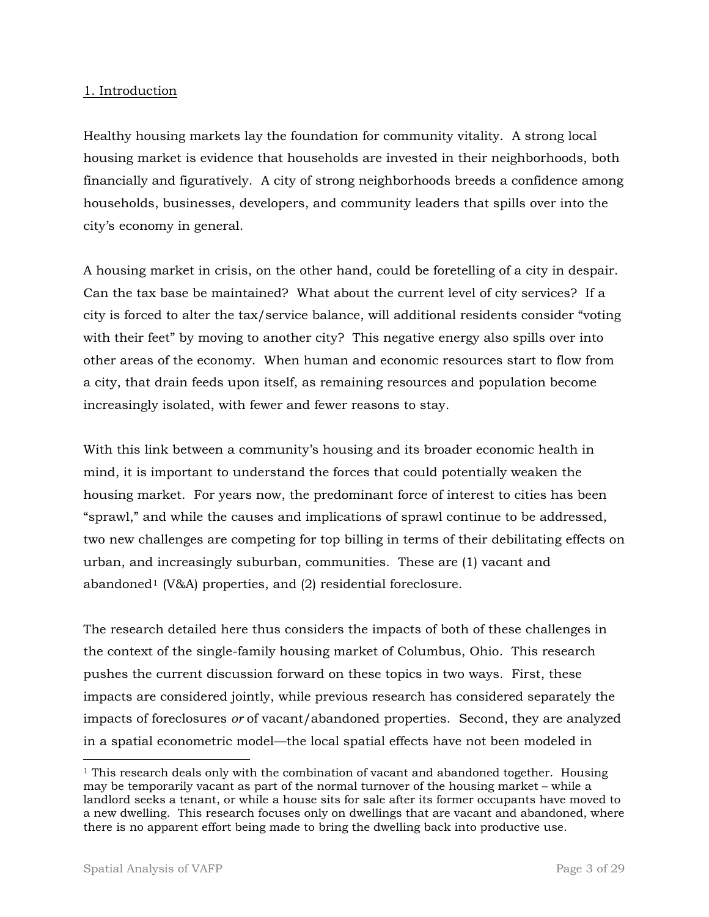### 1. Introduction

Healthy housing markets lay the foundation for community vitality. A strong local housing market is evidence that households are invested in their neighborhoods, both financially and figuratively. A city of strong neighborhoods breeds a confidence among households, businesses, developers, and community leaders that spills over into the city's economy in general.

A housing market in crisis, on the other hand, could be foretelling of a city in despair. Can the tax base be maintained? What about the current level of city services? If a city is forced to alter the tax/service balance, will additional residents consider "voting with their feet" by moving to another city? This negative energy also spills over into other areas of the economy. When human and economic resources start to flow from a city, that drain feeds upon itself, as remaining resources and population become increasingly isolated, with fewer and fewer reasons to stay.

With this link between a community's housing and its broader economic health in mind, it is important to understand the forces that could potentially weaken the housing market. For years now, the predominant force of interest to cities has been "sprawl," and while the causes and implications of sprawl continue to be addressed, two new challenges are competing for top billing in terms of their debilitating effects on urban, and increasingly suburban, communities. These are (1) vacant and abandoned<sup>[1](#page-2-0)</sup> (V&A) properties, and  $(2)$  residential foreclosure.

The research detailed here thus considers the impacts of both of these challenges in the context of the single-family housing market of Columbus, Ohio. This research pushes the current discussion forward on these topics in two ways. First, these impacts are considered jointly, while previous research has considered separately the impacts of foreclosures *or* of vacant/abandoned properties. Second, they are analyzed in a spatial econometric model—the local spatial effects have not been modeled in

<span id="page-2-0"></span><sup>&</sup>lt;sup>1</sup> This research deals only with the combination of vacant and abandoned together. Housing may be temporarily vacant as part of the normal turnover of the housing market – while a landlord seeks a tenant, or while a house sits for sale after its former occupants have moved to a new dwelling. This research focuses only on dwellings that are vacant and abandoned, where there is no apparent effort being made to bring the dwelling back into productive use.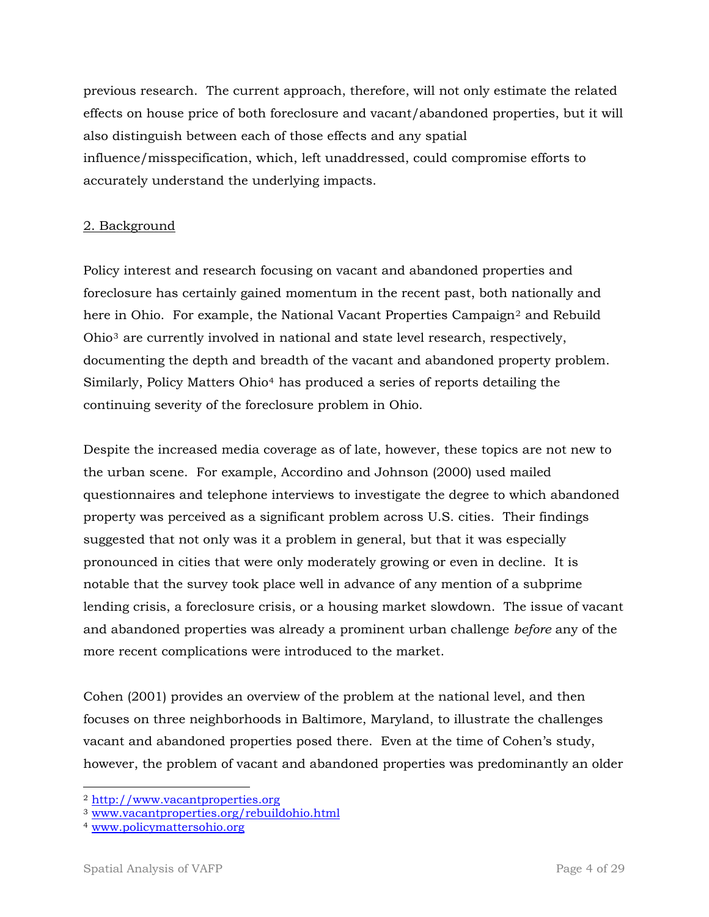previous research. The current approach, therefore, will not only estimate the related effects on house price of both foreclosure and vacant/abandoned properties, but it will also distinguish between each of those effects and any spatial influence/misspecification, which, left unaddressed, could compromise efforts to accurately understand the underlying impacts.

## 2. Background

Policy interest and research focusing on vacant and abandoned properties and foreclosure has certainly gained momentum in the recent past, both nationally and here in Ohio. For example, the National Vacant Properties Campaign<sup>[2](#page-3-0)</sup> and Rebuild Ohio[3](#page-3-1) are currently involved in national and state level research, respectively, documenting the depth and breadth of the vacant and abandoned property problem. Similarly, Policy Matters Ohio[4](#page-3-2) has produced a series of reports detailing the continuing severity of the foreclosure problem in Ohio.

Despite the increased media coverage as of late, however, these topics are not new to the urban scene. For example, Accordino and Johnson (2000) used mailed questionnaires and telephone interviews to investigate the degree to which abandoned property was perceived as a significant problem across U.S. cities. Their findings suggested that not only was it a problem in general, but that it was especially pronounced in cities that were only moderately growing or even in decline. It is notable that the survey took place well in advance of any mention of a subprime lending crisis, a foreclosure crisis, or a housing market slowdown. The issue of vacant and abandoned properties was already a prominent urban challenge *before* any of the more recent complications were introduced to the market.

Cohen (2001) provides an overview of the problem at the national level, and then focuses on three neighborhoods in Baltimore, Maryland, to illustrate the challenges vacant and abandoned properties posed there. Even at the time of Cohen's study, however, the problem of vacant and abandoned properties was predominantly an older

 $\overline{a}$ 

<span id="page-3-1"></span><span id="page-3-0"></span><sup>&</sup>lt;sup>2</sup> http://www.vacantproperties.org<br><sup>3</sup> [www.vacantproperties.org/rebuildohio.html](http://www.vacantproperties.org/rebuildohio.html)

<span id="page-3-2"></span><sup>4</sup> [www.policymattersohio.org](http://www.policymattersohio.org/)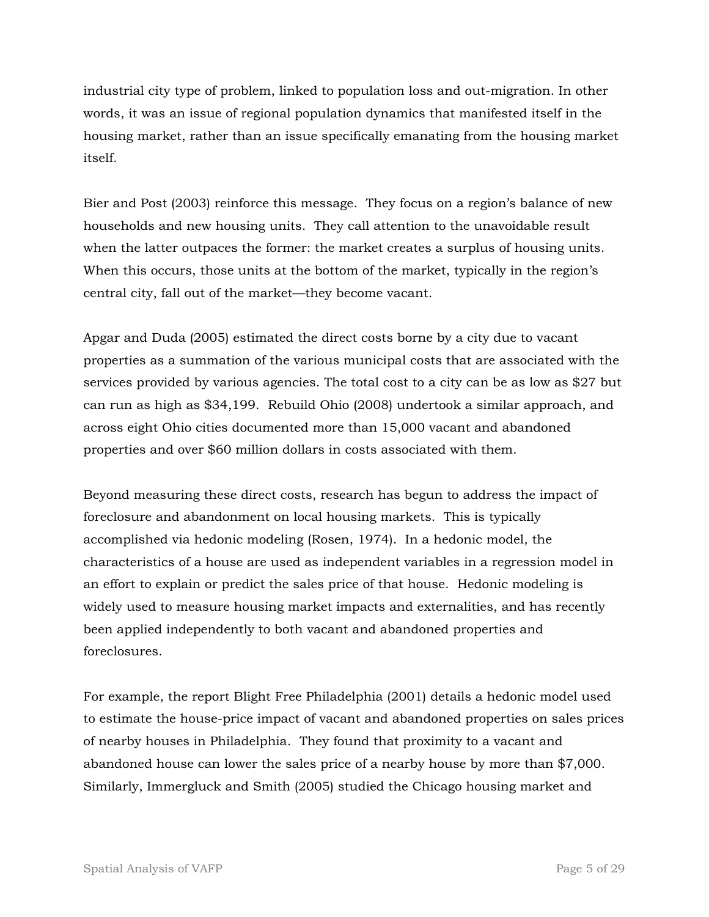industrial city type of problem, linked to population loss and out-migration. In other words, it was an issue of regional population dynamics that manifested itself in the housing market, rather than an issue specifically emanating from the housing market itself.

Bier and Post (2003) reinforce this message. They focus on a region's balance of new households and new housing units. They call attention to the unavoidable result when the latter outpaces the former: the market creates a surplus of housing units. When this occurs, those units at the bottom of the market, typically in the region's central city, fall out of the market—they become vacant.

Apgar and Duda (2005) estimated the direct costs borne by a city due to vacant properties as a summation of the various municipal costs that are associated with the services provided by various agencies. The total cost to a city can be as low as \$27 but can run as high as \$34,199. Rebuild Ohio (2008) undertook a similar approach, and across eight Ohio cities documented more than 15,000 vacant and abandoned properties and over \$60 million dollars in costs associated with them.

Beyond measuring these direct costs, research has begun to address the impact of foreclosure and abandonment on local housing markets. This is typically accomplished via hedonic modeling (Rosen, 1974). In a hedonic model, the characteristics of a house are used as independent variables in a regression model in an effort to explain or predict the sales price of that house. Hedonic modeling is widely used to measure housing market impacts and externalities, and has recently been applied independently to both vacant and abandoned properties and foreclosures.

For example, the report Blight Free Philadelphia (2001) details a hedonic model used to estimate the house-price impact of vacant and abandoned properties on sales prices of nearby houses in Philadelphia. They found that proximity to a vacant and abandoned house can lower the sales price of a nearby house by more than \$7,000. Similarly, Immergluck and Smith (2005) studied the Chicago housing market and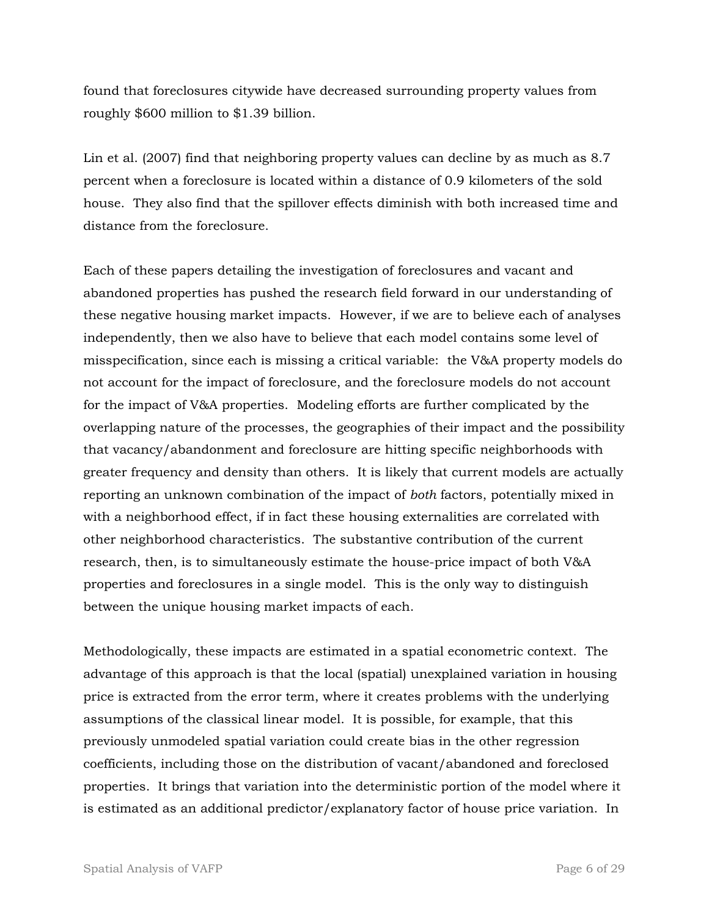found that foreclosures citywide have decreased surrounding property values from roughly \$600 million to \$1.39 billion.

Lin et al. (2007) find that neighboring property values can decline by as much as 8.7 percent when a foreclosure is located within a distance of 0.9 kilometers of the sold house. They also find that the spillover effects diminish with both increased time and distance from the foreclosure.

Each of these papers detailing the investigation of foreclosures and vacant and abandoned properties has pushed the research field forward in our understanding of these negative housing market impacts. However, if we are to believe each of analyses independently, then we also have to believe that each model contains some level of misspecification, since each is missing a critical variable: the V&A property models do not account for the impact of foreclosure, and the foreclosure models do not account for the impact of V&A properties. Modeling efforts are further complicated by the overlapping nature of the processes, the geographies of their impact and the possibility that vacancy/abandonment and foreclosure are hitting specific neighborhoods with greater frequency and density than others. It is likely that current models are actually reporting an unknown combination of the impact of *both* factors, potentially mixed in with a neighborhood effect, if in fact these housing externalities are correlated with other neighborhood characteristics. The substantive contribution of the current research, then, is to simultaneously estimate the house-price impact of both V&A properties and foreclosures in a single model. This is the only way to distinguish between the unique housing market impacts of each.

Methodologically, these impacts are estimated in a spatial econometric context. The advantage of this approach is that the local (spatial) unexplained variation in housing price is extracted from the error term, where it creates problems with the underlying assumptions of the classical linear model. It is possible, for example, that this previously unmodeled spatial variation could create bias in the other regression coefficients, including those on the distribution of vacant/abandoned and foreclosed properties. It brings that variation into the deterministic portion of the model where it is estimated as an additional predictor/explanatory factor of house price variation. In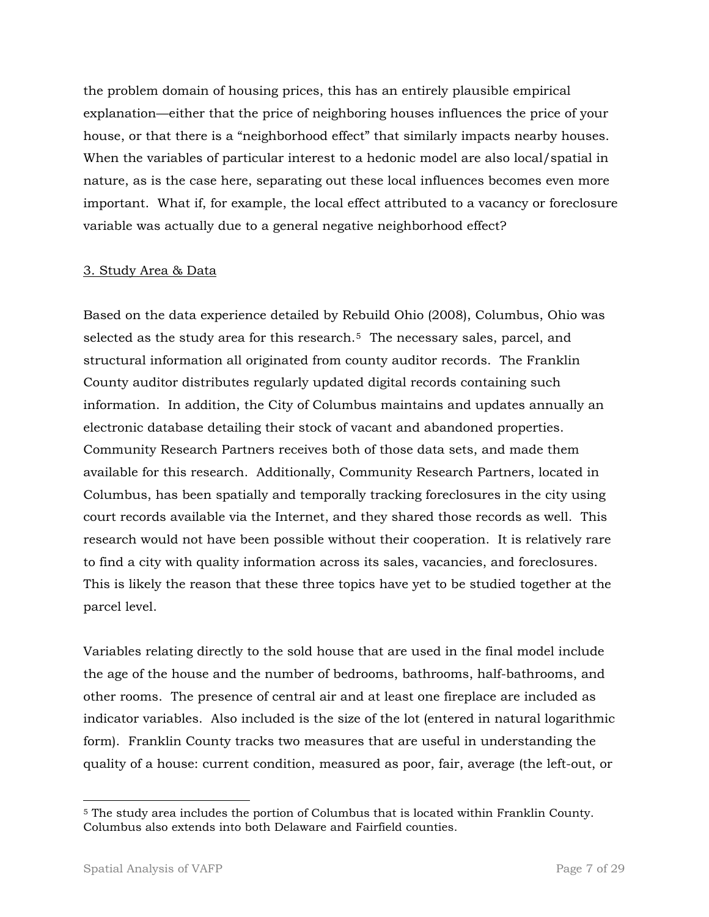the problem domain of housing prices, this has an entirely plausible empirical explanation—either that the price of neighboring houses influences the price of your house, or that there is a "neighborhood effect" that similarly impacts nearby houses. When the variables of particular interest to a hedonic model are also local/spatial in nature, as is the case here, separating out these local influences becomes even more important. What if, for example, the local effect attributed to a vacancy or foreclosure variable was actually due to a general negative neighborhood effect?

### 3. Study Area & Data

Based on the data experience detailed by Rebuild Ohio (2008), Columbus, Ohio was selected as the study area for this research.<sup>[5](#page-6-0)</sup> The necessary sales, parcel, and structural information all originated from county auditor records. The Franklin County auditor distributes regularly updated digital records containing such information. In addition, the City of Columbus maintains and updates annually an electronic database detailing their stock of vacant and abandoned properties. Community Research Partners receives both of those data sets, and made them available for this research. Additionally, Community Research Partners, located in Columbus, has been spatially and temporally tracking foreclosures in the city using court records available via the Internet, and they shared those records as well. This research would not have been possible without their cooperation. It is relatively rare to find a city with quality information across its sales, vacancies, and foreclosures. This is likely the reason that these three topics have yet to be studied together at the parcel level.

Variables relating directly to the sold house that are used in the final model include the age of the house and the number of bedrooms, bathrooms, half-bathrooms, and other rooms. The presence of central air and at least one fireplace are included as indicator variables. Also included is the size of the lot (entered in natural logarithmic form). Franklin County tracks two measures that are useful in understanding the quality of a house: current condition, measured as poor, fair, average (the left-out, or

<span id="page-6-0"></span> 5 The study area includes the portion of Columbus that is located within Franklin County. Columbus also extends into both Delaware and Fairfield counties.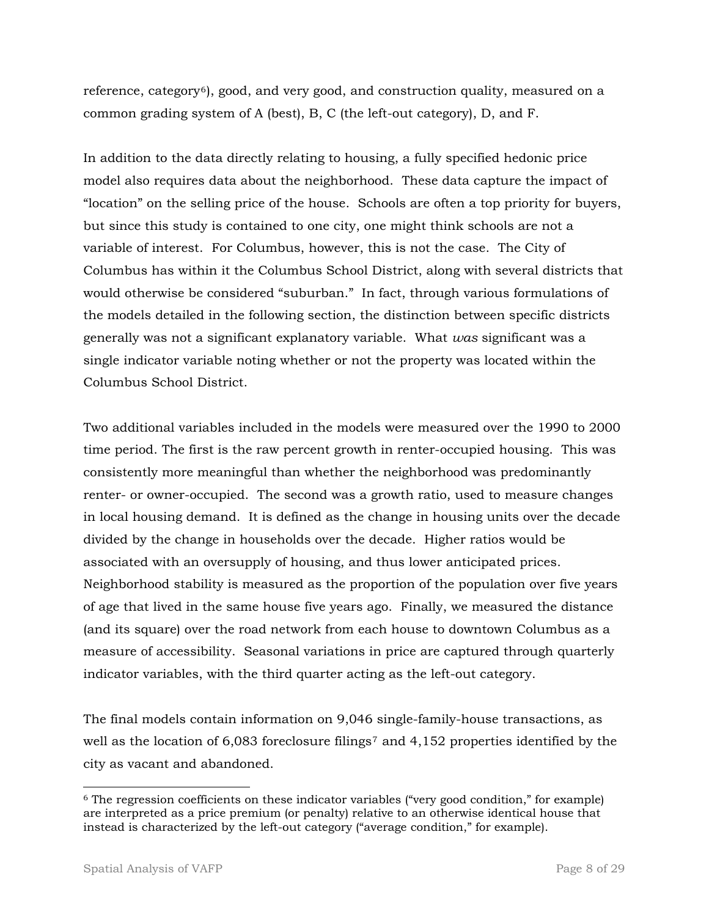reference, category<sup>[6](#page-7-0)</sup>, good, and very good, and construction quality, measured on a common grading system of A (best), B, C (the left-out category), D, and F.

In addition to the data directly relating to housing, a fully specified hedonic price model also requires data about the neighborhood. These data capture the impact of "location" on the selling price of the house. Schools are often a top priority for buyers, but since this study is contained to one city, one might think schools are not a variable of interest. For Columbus, however, this is not the case. The City of Columbus has within it the Columbus School District, along with several districts that would otherwise be considered "suburban." In fact, through various formulations of the models detailed in the following section, the distinction between specific districts generally was not a significant explanatory variable. What *was* significant was a single indicator variable noting whether or not the property was located within the Columbus School District.

Two additional variables included in the models were measured over the 1990 to 2000 time period. The first is the raw percent growth in renter-occupied housing. This was consistently more meaningful than whether the neighborhood was predominantly renter- or owner-occupied. The second was a growth ratio, used to measure changes in local housing demand. It is defined as the change in housing units over the decade divided by the change in households over the decade. Higher ratios would be associated with an oversupply of housing, and thus lower anticipated prices. Neighborhood stability is measured as the proportion of the population over five years of age that lived in the same house five years ago. Finally, we measured the distance (and its square) over the road network from each house to downtown Columbus as a measure of accessibility. Seasonal variations in price are captured through quarterly indicator variables, with the third quarter acting as the left-out category.

The final models contain information on 9,046 single-family-house transactions, as well as the location of 6,083 foreclosure filings<sup>[7](#page-7-0)</sup> and 4,152 properties identified by the city as vacant and abandoned.

-

<span id="page-7-0"></span> $6$  The regression coefficients on these indicator variables ("very good condition," for example) are interpreted as a price premium (or penalty) relative to an otherwise identical house that instead is characterized by the left-out category ("average condition," for example).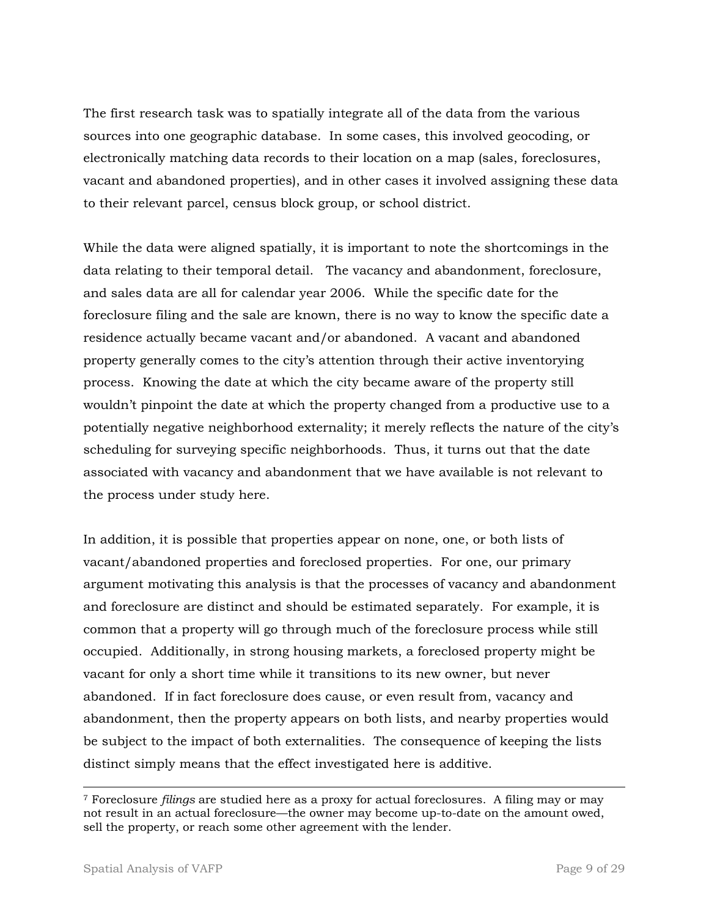The first research task was to spatially integrate all of the data from the various sources into one geographic database. In some cases, this involved geocoding, or electronically matching data records to their location on a map (sales, foreclosures, vacant and abandoned properties), and in other cases it involved assigning these data to their relevant parcel, census block group, or school district.

While the data were aligned spatially, it is important to note the shortcomings in the data relating to their temporal detail. The vacancy and abandonment, foreclosure, and sales data are all for calendar year 2006. While the specific date for the foreclosure filing and the sale are known, there is no way to know the specific date a residence actually became vacant and/or abandoned. A vacant and abandoned property generally comes to the city's attention through their active inventorying process. Knowing the date at which the city became aware of the property still wouldn't pinpoint the date at which the property changed from a productive use to a potentially negative neighborhood externality; it merely reflects the nature of the city's scheduling for surveying specific neighborhoods. Thus, it turns out that the date associated with vacancy and abandonment that we have available is not relevant to the process under study here.

In addition, it is possible that properties appear on none, one, or both lists of vacant/abandoned properties and foreclosed properties. For one, our primary argument motivating this analysis is that the processes of vacancy and abandonment and foreclosure are distinct and should be estimated separately. For example, it is common that a property will go through much of the foreclosure process while still occupied. Additionally, in strong housing markets, a foreclosed property might be vacant for only a short time while it transitions to its new owner, but never abandoned. If in fact foreclosure does cause, or even result from, vacancy and abandonment, then the property appears on both lists, and nearby properties would be subject to the impact of both externalities. The consequence of keeping the lists distinct simply means that the effect investigated here is additive.

 $\overline{a}$ 

<sup>7</sup> Foreclosure *filings* are studied here as a proxy for actual foreclosures. A filing may or may not result in an actual foreclosure—the owner may become up-to-date on the amount owed, sell the property, or reach some other agreement with the lender.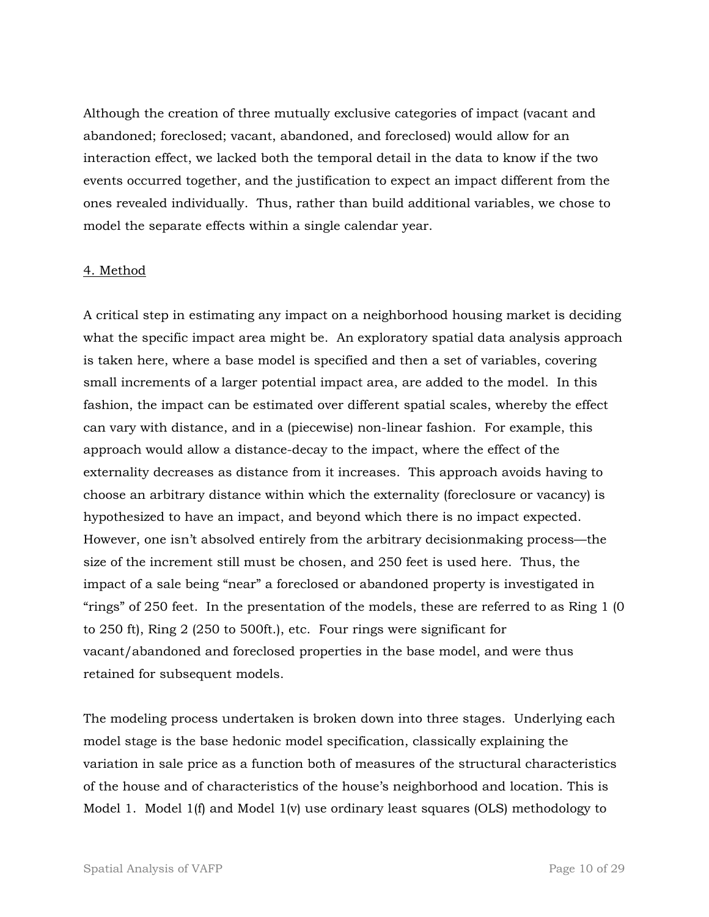Although the creation of three mutually exclusive categories of impact (vacant and abandoned; foreclosed; vacant, abandoned, and foreclosed) would allow for an interaction effect, we lacked both the temporal detail in the data to know if the two events occurred together, and the justification to expect an impact different from the ones revealed individually. Thus, rather than build additional variables, we chose to model the separate effects within a single calendar year.

## 4. Method

A critical step in estimating any impact on a neighborhood housing market is deciding what the specific impact area might be. An exploratory spatial data analysis approach is taken here, where a base model is specified and then a set of variables, covering small increments of a larger potential impact area, are added to the model. In this fashion, the impact can be estimated over different spatial scales, whereby the effect can vary with distance, and in a (piecewise) non-linear fashion. For example, this approach would allow a distance-decay to the impact, where the effect of the externality decreases as distance from it increases. This approach avoids having to choose an arbitrary distance within which the externality (foreclosure or vacancy) is hypothesized to have an impact, and beyond which there is no impact expected. However, one isn't absolved entirely from the arbitrary decisionmaking process—the size of the increment still must be chosen, and 250 feet is used here. Thus, the impact of a sale being "near" a foreclosed or abandoned property is investigated in "rings" of 250 feet. In the presentation of the models, these are referred to as Ring 1 (0 to 250 ft), Ring 2 (250 to 500ft.), etc. Four rings were significant for vacant/abandoned and foreclosed properties in the base model, and were thus retained for subsequent models.

The modeling process undertaken is broken down into three stages. Underlying each model stage is the base hedonic model specification, classically explaining the variation in sale price as a function both of measures of the structural characteristics of the house and of characteristics of the house's neighborhood and location. This is Model 1. Model 1(f) and Model 1(v) use ordinary least squares (OLS) methodology to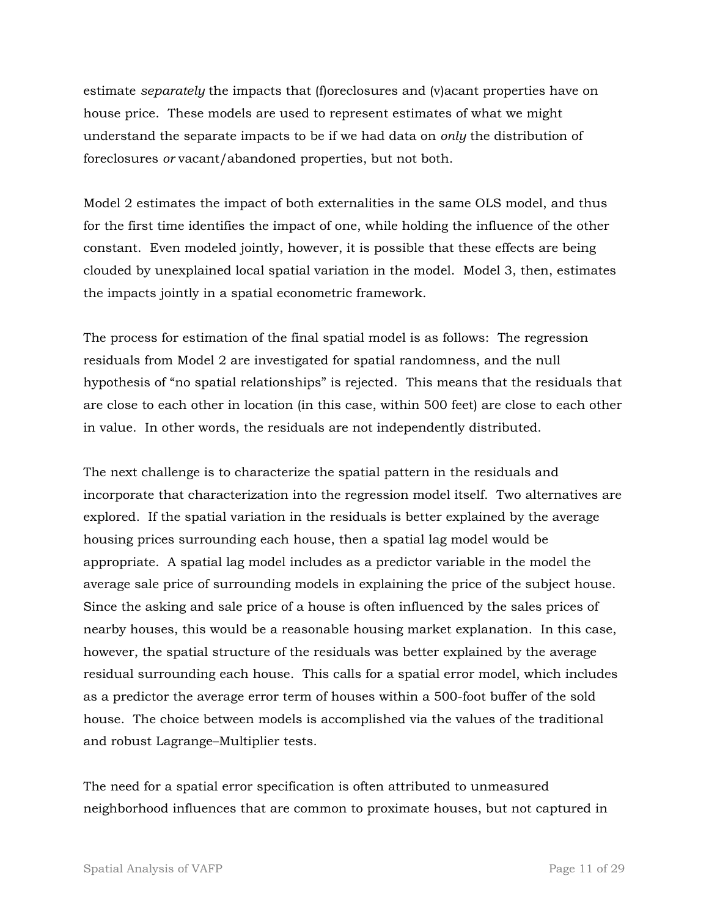estimate *separately* the impacts that (f)oreclosures and (v)acant properties have on house price. These models are used to represent estimates of what we might understand the separate impacts to be if we had data on *only* the distribution of foreclosures *or* vacant/abandoned properties, but not both.

Model 2 estimates the impact of both externalities in the same OLS model, and thus for the first time identifies the impact of one, while holding the influence of the other constant. Even modeled jointly, however, it is possible that these effects are being clouded by unexplained local spatial variation in the model. Model 3, then, estimates the impacts jointly in a spatial econometric framework.

The process for estimation of the final spatial model is as follows: The regression residuals from Model 2 are investigated for spatial randomness, and the null hypothesis of "no spatial relationships" is rejected. This means that the residuals that are close to each other in location (in this case, within 500 feet) are close to each other in value. In other words, the residuals are not independently distributed.

The next challenge is to characterize the spatial pattern in the residuals and incorporate that characterization into the regression model itself. Two alternatives are explored. If the spatial variation in the residuals is better explained by the average housing prices surrounding each house, then a spatial lag model would be appropriate. A spatial lag model includes as a predictor variable in the model the average sale price of surrounding models in explaining the price of the subject house. Since the asking and sale price of a house is often influenced by the sales prices of nearby houses, this would be a reasonable housing market explanation. In this case, however, the spatial structure of the residuals was better explained by the average residual surrounding each house. This calls for a spatial error model, which includes as a predictor the average error term of houses within a 500-foot buffer of the sold house. The choice between models is accomplished via the values of the traditional and robust Lagrange–Multiplier tests.

The need for a spatial error specification is often attributed to unmeasured neighborhood influences that are common to proximate houses, but not captured in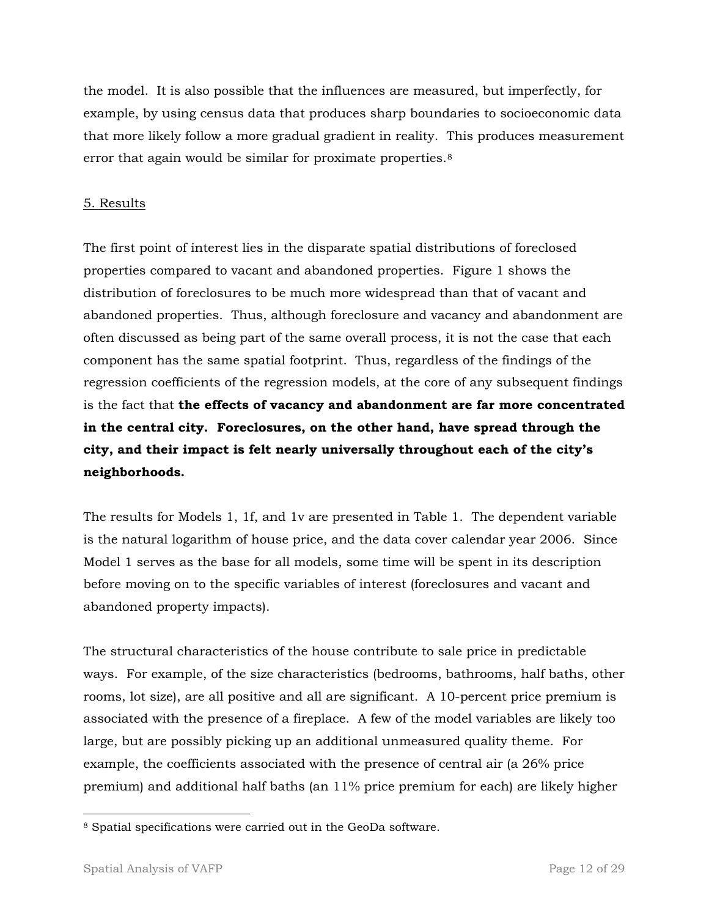the model. It is also possible that the influences are measured, but imperfectly, for example, by using census data that produces sharp boundaries to socioeconomic data that more likely follow a more gradual gradient in reality. This produces measurement error that again would be similar for proximate properties.[8](#page-11-0)

# 5. Results

The first point of interest lies in the disparate spatial distributions of foreclosed properties compared to vacant and abandoned properties. Figure 1 shows the distribution of foreclosures to be much more widespread than that of vacant and abandoned properties. Thus, although foreclosure and vacancy and abandonment are often discussed as being part of the same overall process, it is not the case that each component has the same spatial footprint. Thus, regardless of the findings of the regression coefficients of the regression models, at the core of any subsequent findings is the fact that **the effects of vacancy and abandonment are far more concentrated in the central city. Foreclosures, on the other hand, have spread through the city, and their impact is felt nearly universally throughout each of the city's neighborhoods.**

The results for Models 1, 1f, and 1v are presented in Table 1. The dependent variable is the natural logarithm of house price, and the data cover calendar year 2006. Since Model 1 serves as the base for all models, some time will be spent in its description before moving on to the specific variables of interest (foreclosures and vacant and abandoned property impacts).

The structural characteristics of the house contribute to sale price in predictable ways. For example, of the size characteristics (bedrooms, bathrooms, half baths, other rooms, lot size), are all positive and all are significant. A 10-percent price premium is associated with the presence of a fireplace. A few of the model variables are likely too large, but are possibly picking up an additional unmeasured quality theme. For example, the coefficients associated with the presence of central air (a 26% price premium) and additional half baths (an 11% price premium for each) are likely higher

<span id="page-11-0"></span> 8 Spatial specifications were carried out in the GeoDa software.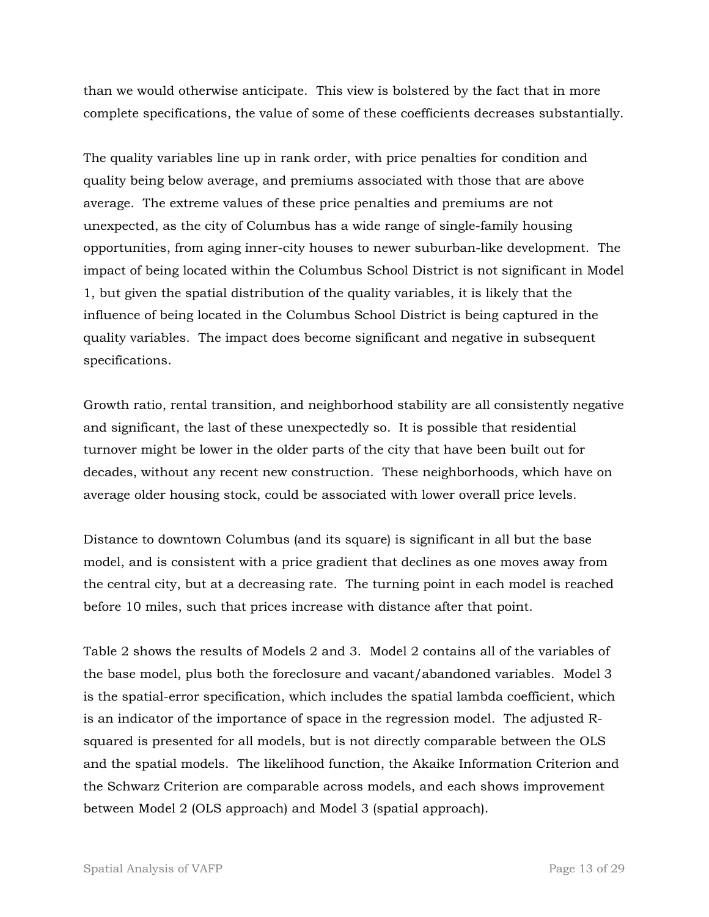than we would otherwise anticipate. This view is bolstered by the fact that in more complete specifications, the value of some of these coefficients decreases substantially.

The quality variables line up in rank order, with price penalties for condition and quality being below average, and premiums associated with those that are above average. The extreme values of these price penalties and premiums are not unexpected, as the city of Columbus has a wide range of single-family housing opportunities, from aging inner-city houses to newer suburban-like development. The impact of being located within the Columbus School District is not significant in Model 1, but given the spatial distribution of the quality variables, it is likely that the influence of being located in the Columbus School District is being captured in the quality variables. The impact does become significant and negative in subsequent specifications.

Growth ratio, rental transition, and neighborhood stability are all consistently negative and significant, the last of these unexpectedly so. It is possible that residential turnover might be lower in the older parts of the city that have been built out for decades, without any recent new construction. These neighborhoods, which have on average older housing stock, could be associated with lower overall price levels.

Distance to downtown Columbus (and its square) is significant in all but the base model, and is consistent with a price gradient that declines as one moves away from the central city, but at a decreasing rate. The turning point in each model is reached before 10 miles, such that prices increase with distance after that point.

Table 2 shows the results of Models 2 and 3. Model 2 contains all of the variables of the base model, plus both the foreclosure and vacant/abandoned variables. Model 3 is the spatial-error specification, which includes the spatial lambda coefficient, which is an indicator of the importance of space in the regression model. The adjusted Rsquared is presented for all models, but is not directly comparable between the OLS and the spatial models. The likelihood function, the Akaike Information Criterion and the Schwarz Criterion are comparable across models, and each shows improvement between Model 2 (OLS approach) and Model 3 (spatial approach).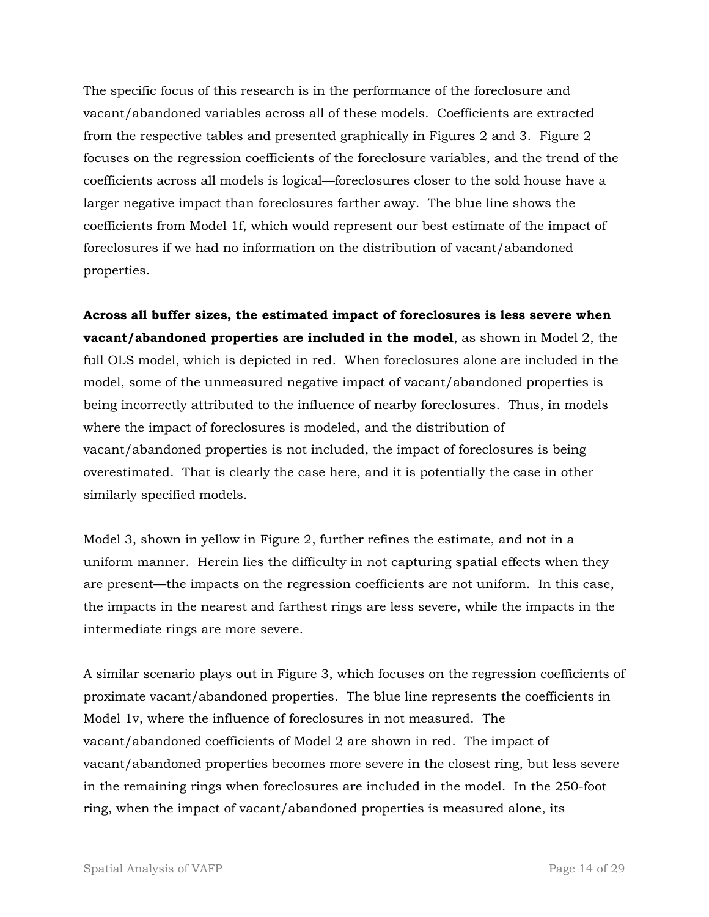The specific focus of this research is in the performance of the foreclosure and vacant/abandoned variables across all of these models. Coefficients are extracted from the respective tables and presented graphically in Figures 2 and 3. Figure 2 focuses on the regression coefficients of the foreclosure variables, and the trend of the coefficients across all models is logical—foreclosures closer to the sold house have a larger negative impact than foreclosures farther away. The blue line shows the coefficients from Model 1f, which would represent our best estimate of the impact of foreclosures if we had no information on the distribution of vacant/abandoned properties.

**Across all buffer sizes, the estimated impact of foreclosures is less severe when vacant/abandoned properties are included in the model**, as shown in Model 2, the full OLS model, which is depicted in red. When foreclosures alone are included in the model, some of the unmeasured negative impact of vacant/abandoned properties is being incorrectly attributed to the influence of nearby foreclosures. Thus, in models where the impact of foreclosures is modeled, and the distribution of vacant/abandoned properties is not included, the impact of foreclosures is being overestimated. That is clearly the case here, and it is potentially the case in other similarly specified models.

Model 3, shown in yellow in Figure 2, further refines the estimate, and not in a uniform manner. Herein lies the difficulty in not capturing spatial effects when they are present—the impacts on the regression coefficients are not uniform. In this case, the impacts in the nearest and farthest rings are less severe, while the impacts in the intermediate rings are more severe.

A similar scenario plays out in Figure 3, which focuses on the regression coefficients of proximate vacant/abandoned properties. The blue line represents the coefficients in Model 1v, where the influence of foreclosures in not measured. The vacant/abandoned coefficients of Model 2 are shown in red. The impact of vacant/abandoned properties becomes more severe in the closest ring, but less severe in the remaining rings when foreclosures are included in the model. In the 250-foot ring, when the impact of vacant/abandoned properties is measured alone, its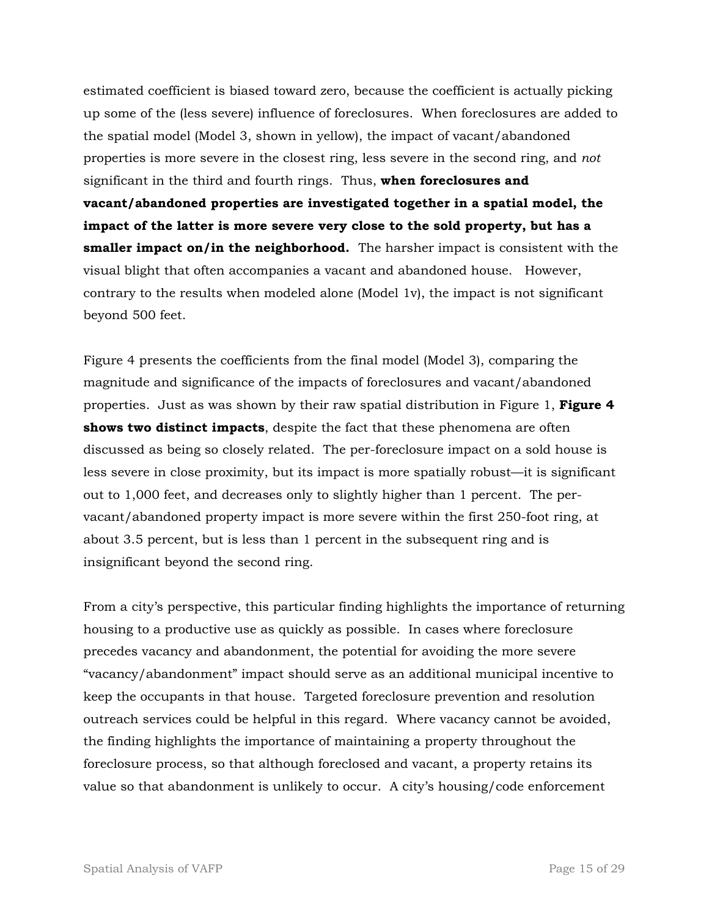estimated coefficient is biased toward zero, because the coefficient is actually picking up some of the (less severe) influence of foreclosures. When foreclosures are added to the spatial model (Model 3, shown in yellow), the impact of vacant/abandoned properties is more severe in the closest ring, less severe in the second ring, and *not*  significant in the third and fourth rings. Thus, **when foreclosures and vacant/abandoned properties are investigated together in a spatial model, the impact of the latter is more severe very close to the sold property, but has a smaller impact on/in the neighborhood.** The harsher impact is consistent with the visual blight that often accompanies a vacant and abandoned house. However, contrary to the results when modeled alone (Model 1v), the impact is not significant beyond 500 feet.

Figure 4 presents the coefficients from the final model (Model 3), comparing the magnitude and significance of the impacts of foreclosures and vacant/abandoned properties. Just as was shown by their raw spatial distribution in Figure 1, **Figure 4 shows two distinct impacts**, despite the fact that these phenomena are often discussed as being so closely related. The per-foreclosure impact on a sold house is less severe in close proximity, but its impact is more spatially robust—it is significant out to 1,000 feet, and decreases only to slightly higher than 1 percent. The pervacant/abandoned property impact is more severe within the first 250-foot ring, at about 3.5 percent, but is less than 1 percent in the subsequent ring and is insignificant beyond the second ring.

From a city's perspective, this particular finding highlights the importance of returning housing to a productive use as quickly as possible. In cases where foreclosure precedes vacancy and abandonment, the potential for avoiding the more severe "vacancy/abandonment" impact should serve as an additional municipal incentive to keep the occupants in that house. Targeted foreclosure prevention and resolution outreach services could be helpful in this regard. Where vacancy cannot be avoided, the finding highlights the importance of maintaining a property throughout the foreclosure process, so that although foreclosed and vacant, a property retains its value so that abandonment is unlikely to occur. A city's housing/code enforcement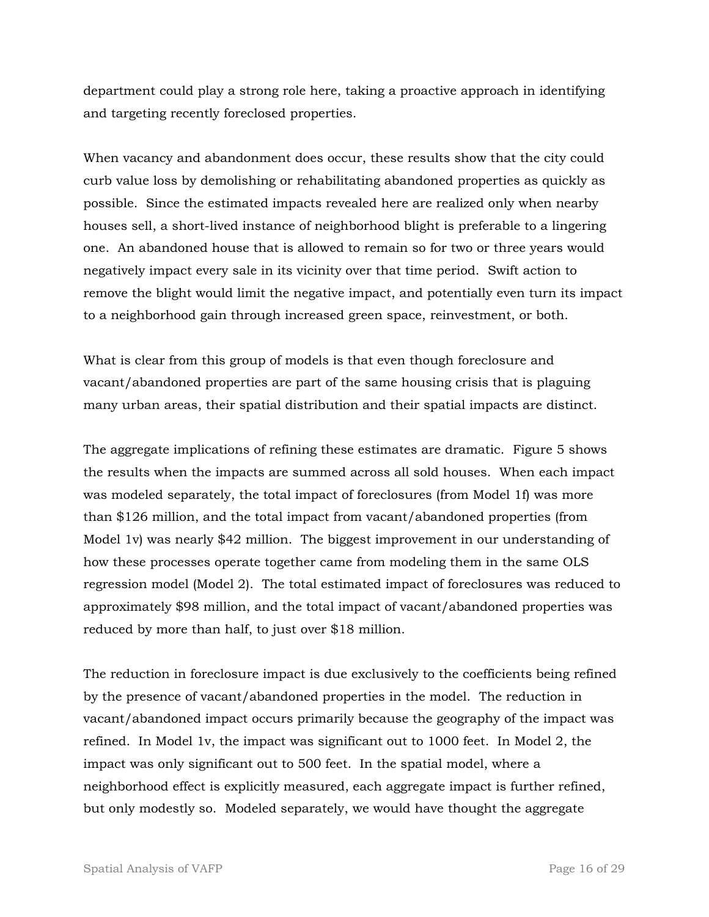department could play a strong role here, taking a proactive approach in identifying and targeting recently foreclosed properties.

When vacancy and abandonment does occur, these results show that the city could curb value loss by demolishing or rehabilitating abandoned properties as quickly as possible. Since the estimated impacts revealed here are realized only when nearby houses sell, a short-lived instance of neighborhood blight is preferable to a lingering one. An abandoned house that is allowed to remain so for two or three years would negatively impact every sale in its vicinity over that time period. Swift action to remove the blight would limit the negative impact, and potentially even turn its impact to a neighborhood gain through increased green space, reinvestment, or both.

What is clear from this group of models is that even though foreclosure and vacant/abandoned properties are part of the same housing crisis that is plaguing many urban areas, their spatial distribution and their spatial impacts are distinct.

The aggregate implications of refining these estimates are dramatic. Figure 5 shows the results when the impacts are summed across all sold houses. When each impact was modeled separately, the total impact of foreclosures (from Model 1f) was more than \$126 million, and the total impact from vacant/abandoned properties (from Model 1v) was nearly \$42 million. The biggest improvement in our understanding of how these processes operate together came from modeling them in the same OLS regression model (Model 2). The total estimated impact of foreclosures was reduced to approximately \$98 million, and the total impact of vacant/abandoned properties was reduced by more than half, to just over \$18 million.

The reduction in foreclosure impact is due exclusively to the coefficients being refined by the presence of vacant/abandoned properties in the model. The reduction in vacant/abandoned impact occurs primarily because the geography of the impact was refined. In Model 1v, the impact was significant out to 1000 feet. In Model 2, the impact was only significant out to 500 feet. In the spatial model, where a neighborhood effect is explicitly measured, each aggregate impact is further refined, but only modestly so. Modeled separately, we would have thought the aggregate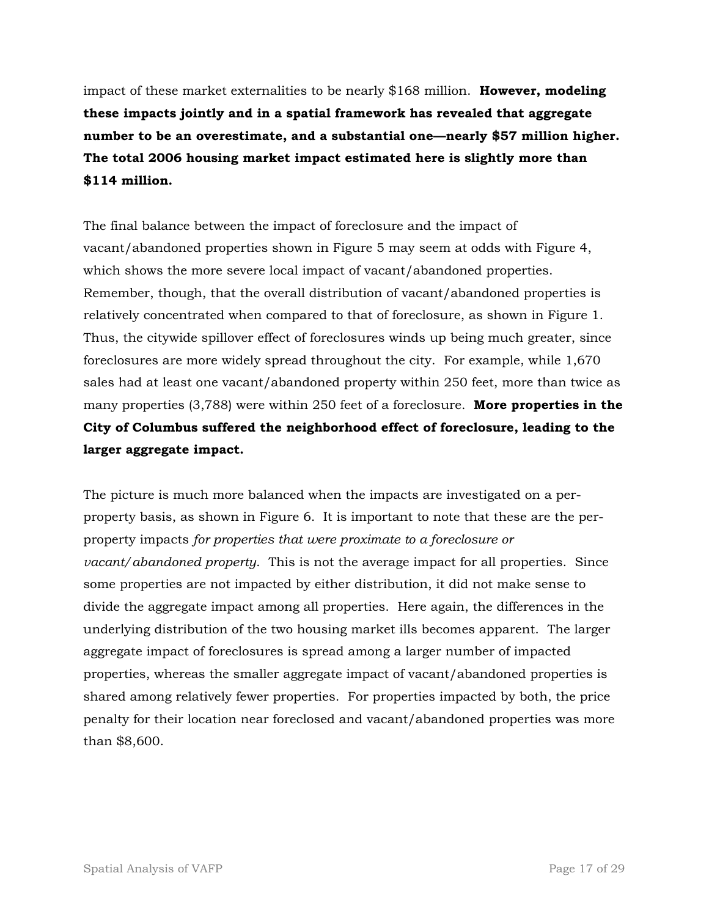impact of these market externalities to be nearly \$168 million. **However, modeling these impacts jointly and in a spatial framework has revealed that aggregate number to be an overestimate, and a substantial one—nearly \$57 million higher. The total 2006 housing market impact estimated here is slightly more than \$114 million.**

The final balance between the impact of foreclosure and the impact of vacant/abandoned properties shown in Figure 5 may seem at odds with Figure 4, which shows the more severe local impact of vacant/abandoned properties. Remember, though, that the overall distribution of vacant/abandoned properties is relatively concentrated when compared to that of foreclosure, as shown in Figure 1. Thus, the citywide spillover effect of foreclosures winds up being much greater, since foreclosures are more widely spread throughout the city. For example, while 1,670 sales had at least one vacant/abandoned property within 250 feet, more than twice as many properties (3,788) were within 250 feet of a foreclosure. **More properties in the City of Columbus suffered the neighborhood effect of foreclosure, leading to the larger aggregate impact.**

The picture is much more balanced when the impacts are investigated on a perproperty basis, as shown in Figure 6. It is important to note that these are the perproperty impacts *for properties that were proximate to a foreclosure or vacant/abandoned property*. This is not the average impact for all properties. Since some properties are not impacted by either distribution, it did not make sense to divide the aggregate impact among all properties. Here again, the differences in the underlying distribution of the two housing market ills becomes apparent. The larger aggregate impact of foreclosures is spread among a larger number of impacted properties, whereas the smaller aggregate impact of vacant/abandoned properties is shared among relatively fewer properties. For properties impacted by both, the price penalty for their location near foreclosed and vacant/abandoned properties was more than \$8,600.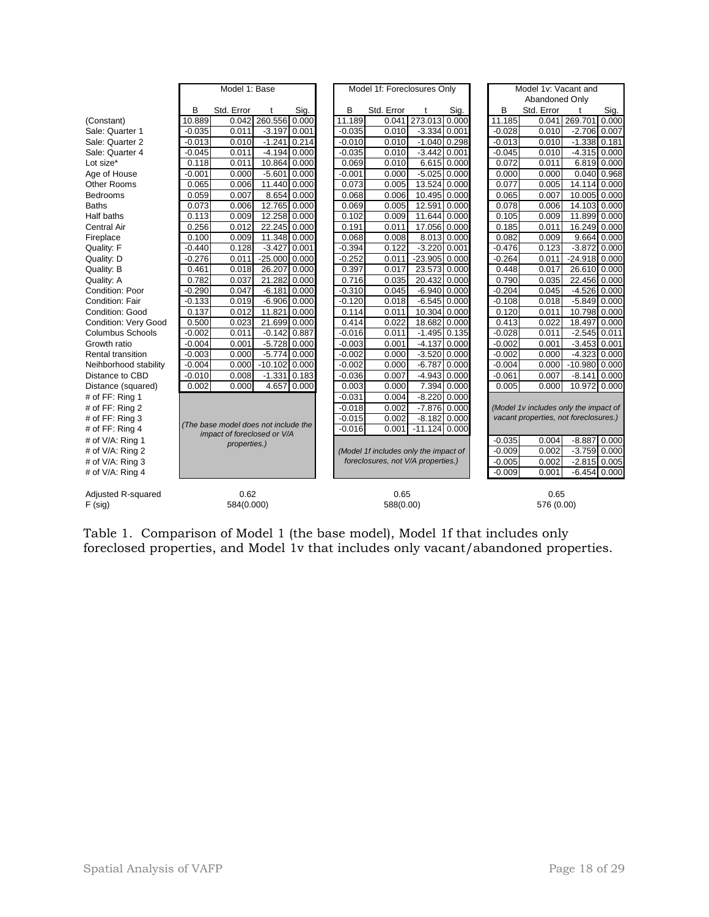|                             | Model 1: Base                                                       |            |                 |       |          | Model 1f: Foreclosures Only                                                 |      |                 |             |                                       | Model 1v: Vacant and                  |            |                 |             |
|-----------------------------|---------------------------------------------------------------------|------------|-----------------|-------|----------|-----------------------------------------------------------------------------|------|-----------------|-------------|---------------------------------------|---------------------------------------|------------|-----------------|-------------|
|                             |                                                                     |            |                 |       |          |                                                                             |      |                 |             |                                       | Abandoned Only                        |            |                 |             |
|                             | B                                                                   | Std. Error | t               | Sig.  | B        | Std. Error                                                                  |      | t               | Sig.        |                                       | B                                     | Std. Error | t               | Sig.        |
| (Constant)                  | 10.889                                                              | 0.042      | 260.556         | 0.000 | 11.189   | 0.041                                                                       |      | 273.013 0.000   |             |                                       | 11.185                                | 0.041      | 269.701         | 0.000       |
| Sale: Quarter 1             | $-0.035$                                                            | 0.011      | $-3.197$        | 0.001 | $-0.035$ | 0.010                                                                       |      | $-3.334$ 0.001  |             |                                       | $-0.028$                              | 0.010      | $-2.706$        | 0.007       |
| Sale: Quarter 2             | $-0.013$                                                            | 0.010      | $-1.241$        | 0.214 | $-0.010$ | 0.010                                                                       |      | $-1.040$ 0.298  |             |                                       | $-0.013$                              | 0.010      | $-1.338$ 0.181  |             |
| Sale: Quarter 4             | $-0.045$                                                            | 0.011      | $-4.194$ 0.000  |       | $-0.035$ | 0.010                                                                       |      | $-3.442$ 0.001  |             |                                       | $-0.045$                              | 0.010      | $-4.315$ 0.000  |             |
| Lot size*                   | 0.118                                                               | 0.011      | 10.864 0.000    |       | 0.069    | 0.010                                                                       |      | 6.615 0.000     |             |                                       | 0.072                                 | 0.011      |                 | 6.819 0.000 |
| Age of House                | $-0.001$                                                            | 0.000      | $-5.601$        | 0.000 | $-0.001$ | 0.000                                                                       |      | $-5.025$ 0.000  |             |                                       | 0.000                                 | 0.000      |                 | 0.040 0.968 |
| Other Rooms                 | 0.065                                                               | 0.006      | 11.440 0.000    |       | 0.073    | 0.005                                                                       |      | 13.524 0.000    |             |                                       | 0.077                                 | 0.005      | 14.114 0.000    |             |
| <b>Bedrooms</b>             | 0.059                                                               | 0.007      | 8.654 0.000     |       | 0.068    | 0.006                                                                       |      | 10.495 0.000    |             |                                       | 0.065                                 | 0.007      | 10.005 0.000    |             |
| <b>Baths</b>                | 0.073                                                               | 0.006      | 12.765 0.000    |       | 0.069    | 0.005                                                                       |      | 12.591          | 0.000       |                                       | 0.078                                 | 0.006      | 14.103 0.000    |             |
| Half baths                  | 0.113                                                               | 0.009      | 12.258 0.000    |       | 0.102    | 0.009                                                                       |      | 11.644 0.000    |             |                                       | 0.105                                 | 0.009      | 11.899 0.000    |             |
| <b>Central Air</b>          | 0.256                                                               | 0.012      | 22.245 0.000    |       | 0.191    | 0.011                                                                       |      | 17.056 0.000    |             |                                       | 0.185                                 | 0.011      | 16.249 0.000    |             |
| Fireplace                   | 0.100                                                               | 0.009      | 11.348 0.000    |       | 0.068    | 0.008                                                                       |      | 8.013 0.000     |             |                                       | 0.082                                 | 0.009      |                 | 9.664 0.000 |
| Quality: F                  | $-0.440$                                                            | 0.128      | $-3.427$        | 0.001 | $-0.394$ | 0.122                                                                       |      | $-3.220$ 0.001  |             |                                       | $-0.476$                              | 0.123      | $-3.872$ 0.000  |             |
| Quality: D                  | $-0.276$                                                            | 0.011      | $-25.000$ 0.000 |       | $-0.252$ | 0.011                                                                       |      | $-23.905$ 0.000 |             |                                       | $-0.264$                              | 0.011      | $-24.918$ 0.000 |             |
| Quality: B                  | 0.461                                                               | 0.018      | 26.207          | 0.000 | 0.397    | 0.017                                                                       |      | 23.573          | 0.000       |                                       | 0.448                                 | 0.017      | 26.610 0.000    |             |
| Quality: A                  | 0.782                                                               | 0.037      | 21.282          | 0.000 | 0.716    | 0.035                                                                       |      | 20.432          | 0.000       |                                       | 0.790                                 | 0.035      | 22.456 0.000    |             |
| Condition: Poor             | $-0.290$                                                            | 0.047      | $-6.181$        | 0.000 | $-0.310$ | 0.045                                                                       |      | $-6.940$ 0.000  |             |                                       | $-0.204$                              | 0.045      | $-4.526$ 0.000  |             |
| Condition: Fair             | $-0.133$                                                            | 0.019      | $-6.906$ 0.000  |       | $-0.120$ | 0.018                                                                       |      | $-6.545$ 0.000  |             |                                       | $-0.108$                              | 0.018      | $-5.849$ 0.000  |             |
| Condition: Good             | 0.137                                                               | 0.012      | 11.821          | 0.000 | 0.114    | 0.011                                                                       |      | 10.304 0.000    |             |                                       | 0.120                                 | 0.011      | 10.798 0.000    |             |
| <b>Condition: Very Good</b> | 0.500                                                               | 0.023      | 21.699 0.000    |       | 0.414    | 0.022                                                                       |      | 18.682 0.000    |             |                                       | 0.413                                 | 0.022      | 18.497          | 0.000       |
| <b>Columbus Schools</b>     | $-0.002$                                                            | 0.011      | $-0.142$ 0.887  |       | $-0.016$ | 0.011                                                                       |      | $-1.495$ 0.135  |             |                                       | $-0.028$                              | 0.011      | $-2.545$ 0.011  |             |
| Growth ratio                | $-0.004$                                                            | 0.001      | $-5.728$ 0.000  |       | $-0.003$ | 0.001                                                                       |      | $-4.137$        | 0.000       |                                       | $-0.002$                              | 0.001      | $-3.453$ 0.001  |             |
| <b>Rental transition</b>    | $-0.003$                                                            | 0.000      | $-5.774$        | 0.000 | $-0.002$ | 0.000                                                                       |      | $-3.520$        | 0.000       |                                       | $-0.002$                              | 0.000      | $-4.323$ 0.000  |             |
| Neihborhood stability       | $-0.004$                                                            | 0.000      | $-10.102$ 0.000 |       | $-0.002$ | 0.000                                                                       |      | $-6.787$        | 0.000       |                                       | $-0.004$                              | 0.000      | $-10.980$ 0.000 |             |
| Distance to CBD             | $-0.010$                                                            | 0.008      | $-1.331$ 0.183  |       | $-0.036$ | 0.007                                                                       |      | $-4.943$ 0.000  |             |                                       | $-0.061$                              | 0.007      | $-8.141$ 0.000  |             |
| Distance (squared)          | 0.002                                                               | 0.000      | 4.657 0.000     |       | 0.003    | 0.000                                                                       |      |                 | 7.394 0.000 |                                       | 0.005                                 | 0.000      | 10.972 0.000    |             |
| # of FF: Ring 1             |                                                                     |            |                 |       | $-0.031$ | 0.004                                                                       |      | $-8.220$ 0.000  |             |                                       |                                       |            |                 |             |
| # of FF: Ring 2             |                                                                     |            |                 |       |          | 0.002<br>$-7.876$ 0.000<br>$-0.018$                                         |      |                 |             |                                       | (Model 1v includes only the impact of |            |                 |             |
| # of FF: Ring 3             | (The base model does not include the<br>impact of foreclosed or V/A |            |                 |       | $-0.015$ | 0.002                                                                       |      | $-8.182$ 0.000  |             | vacant properties, not foreclosures.) |                                       |            |                 |             |
| # of FF: Ring $4$           |                                                                     |            |                 |       |          | $-11.124$ 0.000<br>$-0.016$<br>0.001                                        |      |                 |             |                                       |                                       |            |                 |             |
| # of V/A: Ring 1            |                                                                     |            |                 |       |          |                                                                             |      |                 |             |                                       | $-0.035$                              | 0.004      | $-8.887$ 0.000  |             |
| # of V/A: Ring 2            | properties.)                                                        |            |                 |       |          | (Model 1f includes only the impact of<br>foreclosures, not V/A properties.) |      |                 |             |                                       | $-0.009$                              | 0.002      | $-3.759$ 0.000  |             |
| # of V/A: Ring 3            |                                                                     |            |                 |       |          |                                                                             |      |                 |             |                                       | $-0.005$                              | 0.002      | $-2.815$ 0.005  |             |
| # of $V/A$ : Ring 4         |                                                                     |            |                 |       |          |                                                                             |      |                 |             |                                       | $-0.009$                              | 0.001      | $-6.454$ 0.000  |             |
| Adjusted R-squared          |                                                                     | 0.62       |                 |       |          |                                                                             | 0.65 |                 |             |                                       |                                       | 0.65       |                 |             |
| $F$ (sig)                   |                                                                     | 584(0.000) |                 |       |          | 588(0.00)                                                                   |      |                 |             |                                       | 576 (0.00)                            |            |                 |             |

Table 1. Comparison of Model 1 (the base model), Model 1f that includes only foreclosed properties, and Model 1v that includes only vacant/abandoned properties.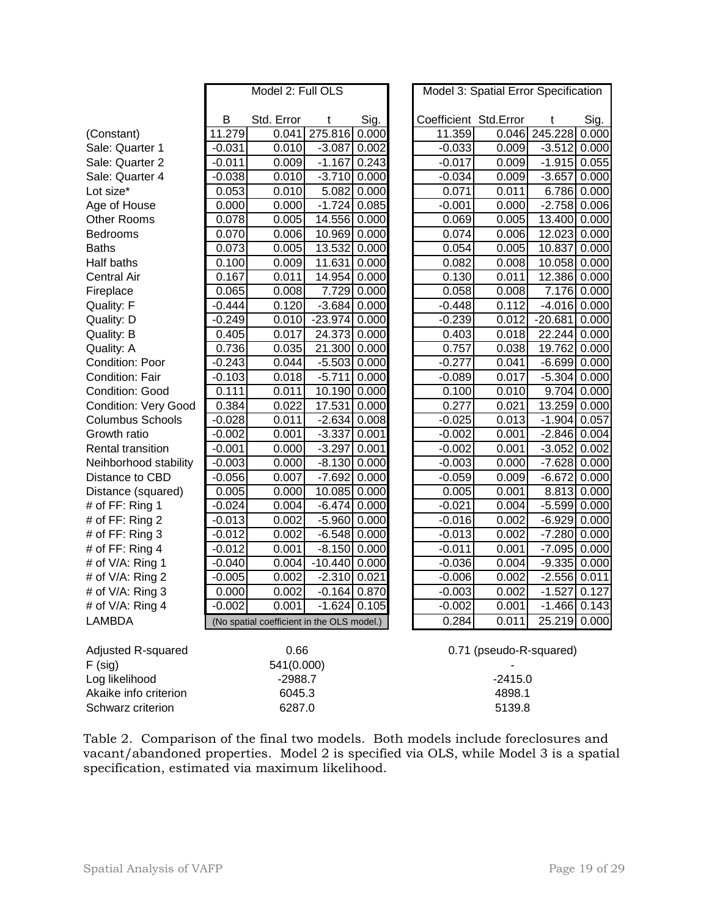|                             | Model 2: Full OLS |                                            |                |                |        | Model 3: Spatial Error Specification |                         |                |             |  |  |
|-----------------------------|-------------------|--------------------------------------------|----------------|----------------|--------|--------------------------------------|-------------------------|----------------|-------------|--|--|
|                             |                   |                                            |                |                |        |                                      |                         |                |             |  |  |
|                             | в                 | Std. Error                                 | t              | Sig.           |        | Coefficient Std.Error                |                         | t              | Sig.        |  |  |
| (Constant)                  | 11.279            | 0.041                                      | 275.816        | 0.000          |        | 11.359                               |                         | 0.046 245.228  | 0.000       |  |  |
| Sale: Quarter 1             | $-0.031$          | 0.010                                      | $-3.087$       | 0.002          |        | $-0.033$                             | 0.009                   | $-3.512$       | 0.000       |  |  |
| Sale: Quarter 2             | $-0.011$          | 0.009                                      | $-1.167$       | 0.243          |        | $-0.017$                             | 0.009                   | $-1.915$ 0.055 |             |  |  |
| Sale: Quarter 4             | $-0.038$          | 0.010                                      | $-3.710$ 0.000 |                |        | $-0.034$                             | 0.009                   | $-3.657$       | 0.000       |  |  |
| Lot size*                   | 0.053             | 0.010                                      | 5.082          | 0.000          |        | 0.071                                | 0.011                   | 6.786          | 0.000       |  |  |
| Age of House                | 0.000             | 0.000                                      | $-1.724$       | 0.085          |        | $-0.001$                             | 0.000                   | $-2.758$       | 0.006       |  |  |
| <b>Other Rooms</b>          | 0.078             | 0.005                                      | 14.556         | 0.000          |        | 0.069                                | 0.005                   | 13.400         | 0.000       |  |  |
| Bedrooms                    | 0.070             | 0.006                                      | 10.969         | 0.000          |        | 0.074                                | 0.006                   | 12.023         | 0.000       |  |  |
| <b>Baths</b>                | 0.073             | 0.005                                      | 13.532         | 0.000          |        | 0.054                                | 0.005                   | 10.837         | 0.000       |  |  |
| Half baths                  | 0.100             | 0.009                                      | 11.631         | 0.000          |        | 0.082                                | 0.008                   | 10.058         | 0.000       |  |  |
| <b>Central Air</b>          | 0.167             | 0.011                                      | 14.954         | 0.000          |        | 0.130                                | 0.011                   | 12.386         | 0.000       |  |  |
| Fireplace                   | 0.065             | 0.008                                      | 7.729          | 0.000          |        | 0.058                                | 0.008                   | 7.176          | 0.000       |  |  |
| <b>Quality: F</b>           | $-0.444$          | 0.120                                      | $-3.684$       | 0.000          |        | $-0.448$                             | 0.112                   | $-4.016$       | 0.000       |  |  |
| Quality: D                  | $-0.249$          | 0.010                                      | $-23.974$      | 0.000          |        | $-0.239$                             | 0.012                   | $-20.681$      | 0.000       |  |  |
| <b>Quality: B</b>           | 0.405             | 0.017                                      | 24.373         | 0.000          |        | 0.403                                | 0.018                   | 22.244         | 0.000       |  |  |
| Quality: A                  | 0.736             | 0.035                                      | 21.300 0.000   |                |        | 0.757                                | 0.038                   | 19.762         | 0.000       |  |  |
| Condition: Poor             | $-0.243$          | 0.044                                      | $-5.503$ 0.000 |                |        | $-0.277$                             | 0.041                   | $-6.699$ 0.000 |             |  |  |
| <b>Condition: Fair</b>      | $-0.103$          | 0.018                                      | $-5.711$       | 0.000          |        | $-0.089$                             | 0.017                   | $-5.304$ 0.000 |             |  |  |
| Condition: Good             | 0.111             | 0.011                                      | 10.190 0.000   |                |        | 0.100                                | 0.010                   |                | 9.704 0.000 |  |  |
| <b>Condition: Very Good</b> | 0.384             | 0.022                                      | 17.531         | 0.000          |        | 0.277                                | 0.021                   | 13.259 0.000   |             |  |  |
| <b>Columbus Schools</b>     | $-0.028$          | 0.011                                      | $-2.634$ 0.008 |                |        | $-0.025$                             | 0.013                   | $-1.904$ 0.057 |             |  |  |
| Growth ratio                | $-0.002$          | 0.001                                      | $-3.337$       | 0.001          |        | $-0.002$                             | 0.001                   | $-2.846$       | 0.004       |  |  |
| Rental transition           | $-0.001$          | 0.000                                      | $-3.297$       | 0.001          |        | $-0.002$                             | 0.001                   | $-3.052$       | 0.002       |  |  |
| Neihborhood stability       | $-0.003$          | 0.000                                      | $-8.130$       | 0.000          |        | $-0.003$                             | 0.000                   | $-7.628$       | 0.000       |  |  |
| Distance to CBD             | $-0.056$          | 0.007                                      | $-7.692$       | 0.000          |        | $-0.059$                             | 0.009                   | $-6.672$       | 0.000       |  |  |
| Distance (squared)          | 0.005             | 0.000                                      | 10.085 0.000   |                |        | 0.005                                | 0.001                   | 8.813          | 0.000       |  |  |
| # of FF: Ring 1             | $-0.024$          | 0.004                                      | $-6.474$       | 0.000          |        | $-0.021$                             | 0.004                   | $-5.599$       | 0.000       |  |  |
| # of FF: Ring 2             | $-0.013$          | 0.002                                      | $-5.960$       | 0.000          |        | $-0.016$                             | 0.002                   | $-6.929$       | 0.000       |  |  |
| # of FF: Ring 3             | $-0.012$          | 0.002                                      | $-6.548$       | 0.000          |        | $-0.013$                             | 0.002                   | $-7.280$       | 0.000       |  |  |
| # of FF: Ring 4             | $-0.012$          | 0.001                                      | $-8.150$       | 0.000          |        | $-0.011$                             | 0.001                   | $-7.095$       | 0.000       |  |  |
| # of V/A: Ring 1            | $-0.040$          | 0.004                                      | $-10.440$      | 0.000          |        | $-0.036$                             | 0.004                   | $-9.335$       | 0.000       |  |  |
| # of V/A: Ring 2            | $-0.005$          | 0.002                                      | $-2.310$       | 0.021          |        | $-0.006$                             | 0.002                   | $-2.556$       | 0.011       |  |  |
| # of V/A: Ring 3            | 0.000             | 0.002                                      | $-0.164$ 0.870 |                |        | $-0.003$                             | 0.002                   | $-1.527$       | 0.127       |  |  |
| # of V/A: Ring 4            | $-0.002$          | 0.001                                      |                | $-1.624$ 0.105 |        | $-0.002$                             | 0.001                   | $-1.466$ 0.143 |             |  |  |
| <b>LAMBDA</b>               |                   | (No spatial coefficient in the OLS model.) |                |                |        | 0.284                                | 0.011                   | 25.219 0.000   |             |  |  |
|                             |                   |                                            |                |                |        |                                      |                         |                |             |  |  |
| Adjusted R-squared          |                   | 0.66                                       |                |                |        |                                      | 0.71 (pseudo-R-squared) |                |             |  |  |
| $F$ (sig)                   | 541(0.000)        |                                            |                |                |        |                                      |                         |                |             |  |  |
| Log likelihood              | $-2988.7$         |                                            |                |                |        | $-2415.0$                            |                         |                |             |  |  |
| Akaike info criterion       | 6045.3            |                                            |                |                | 4898.1 |                                      |                         |                |             |  |  |
| Schwarz criterion           | 6287.0            |                                            |                |                |        | 5139.8                               |                         |                |             |  |  |

Table 2. Comparison of the final two models. Both models include foreclosures and vacant/abandoned properties. Model 2 is specified via OLS, while Model 3 is a spatial specification, estimated via maximum likelihood.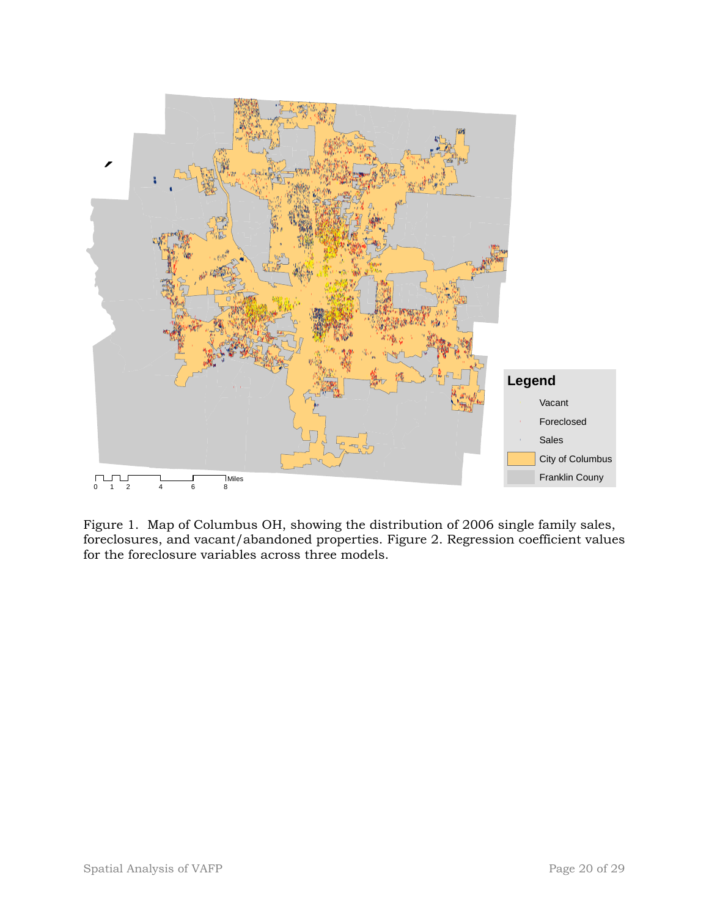

Figure 1. Map of Columbus OH, showing the distribution of 2006 single family sales, foreclosures, and vacant/abandoned properties. Figure 2. Regression coefficient values for the foreclosure variables across three models.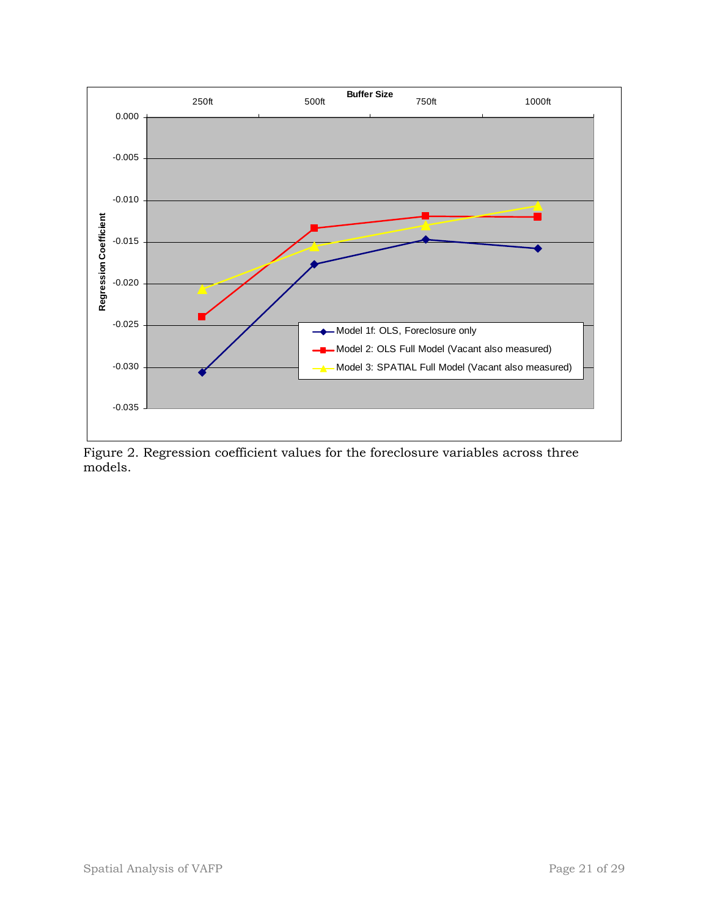

Figure 2. Regression coefficient values for the foreclosure variables across three models.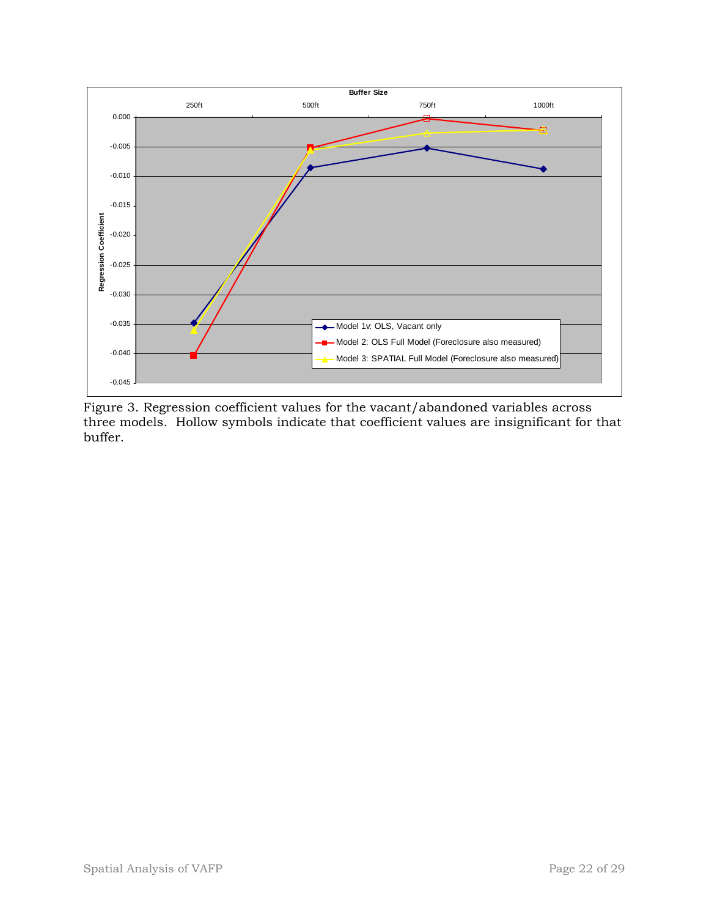

Figure 3. Regression coefficient values for the vacant/abandoned variables across three models. Hollow symbols indicate that coefficient values are insignificant for that buffer.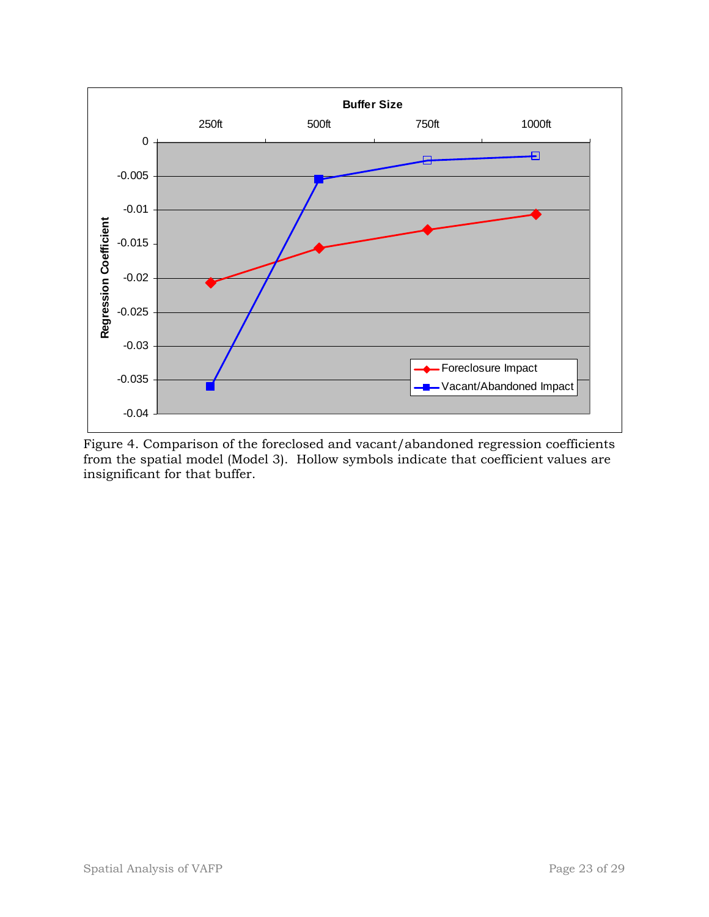

Figure 4. Comparison of the foreclosed and vacant/abandoned regression coefficients from the spatial model (Model 3). Hollow symbols indicate that coefficient values are insignificant for that buffer.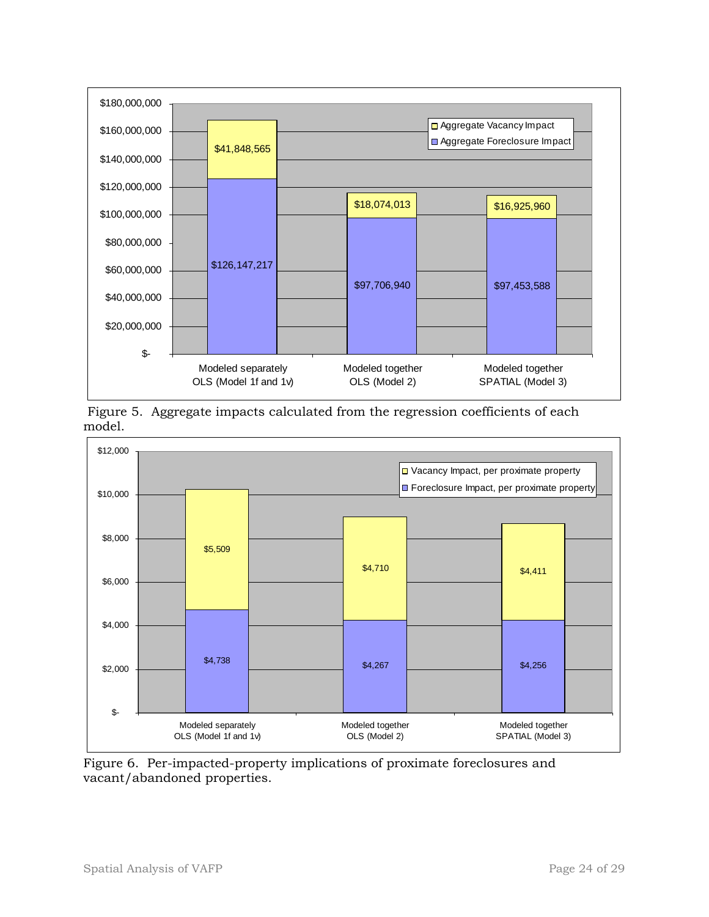

 Figure 5. Aggregate impacts calculated from the regression coefficients of each model.



Figure 6. Per-impacted-property implications of proximate foreclosures and vacant/abandoned properties.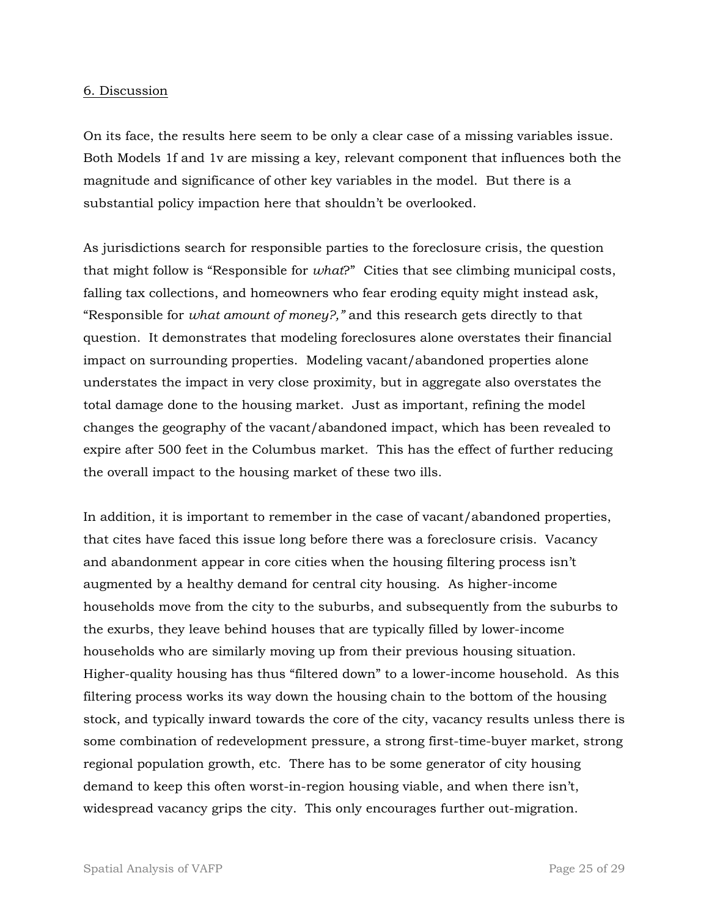#### 6. Discussion

On its face, the results here seem to be only a clear case of a missing variables issue. Both Models 1f and 1v are missing a key, relevant component that influences both the magnitude and significance of other key variables in the model. But there is a substantial policy impaction here that shouldn't be overlooked.

As jurisdictions search for responsible parties to the foreclosure crisis, the question that might follow is "Responsible for *what*?" Cities that see climbing municipal costs, falling tax collections, and homeowners who fear eroding equity might instead ask, "Responsible for *what amount of money?,"* and this research gets directly to that question. It demonstrates that modeling foreclosures alone overstates their financial impact on surrounding properties. Modeling vacant/abandoned properties alone understates the impact in very close proximity, but in aggregate also overstates the total damage done to the housing market. Just as important, refining the model changes the geography of the vacant/abandoned impact, which has been revealed to expire after 500 feet in the Columbus market. This has the effect of further reducing the overall impact to the housing market of these two ills.

In addition, it is important to remember in the case of vacant/abandoned properties, that cites have faced this issue long before there was a foreclosure crisis. Vacancy and abandonment appear in core cities when the housing filtering process isn't augmented by a healthy demand for central city housing. As higher-income households move from the city to the suburbs, and subsequently from the suburbs to the exurbs, they leave behind houses that are typically filled by lower-income households who are similarly moving up from their previous housing situation. Higher-quality housing has thus "filtered down" to a lower-income household. As this filtering process works its way down the housing chain to the bottom of the housing stock, and typically inward towards the core of the city, vacancy results unless there is some combination of redevelopment pressure, a strong first-time-buyer market, strong regional population growth, etc. There has to be some generator of city housing demand to keep this often worst-in-region housing viable, and when there isn't, widespread vacancy grips the city. This only encourages further out-migration.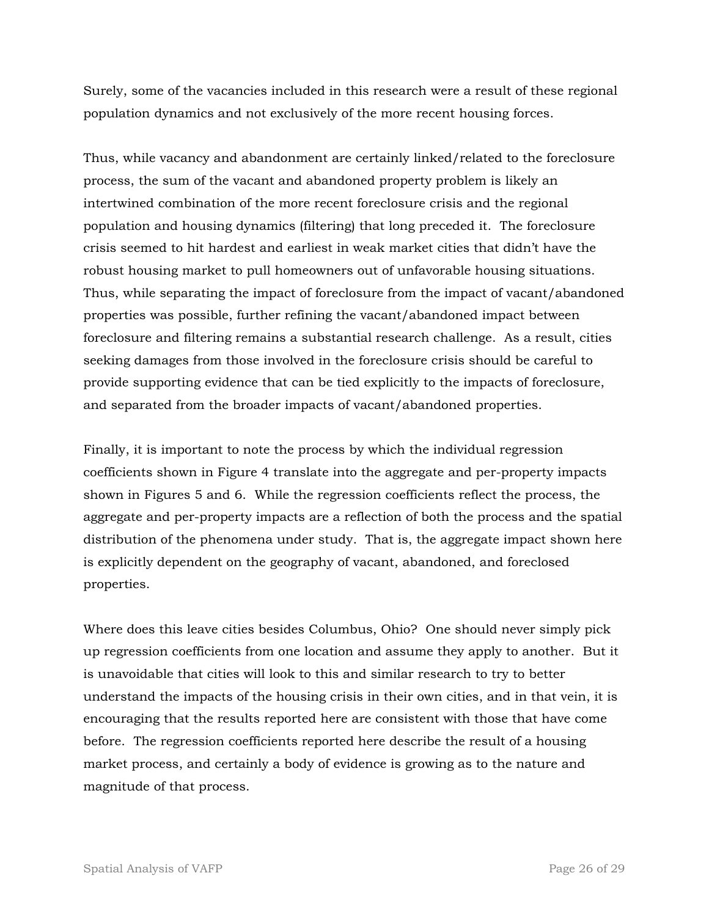Surely, some of the vacancies included in this research were a result of these regional population dynamics and not exclusively of the more recent housing forces.

Thus, while vacancy and abandonment are certainly linked/related to the foreclosure process, the sum of the vacant and abandoned property problem is likely an intertwined combination of the more recent foreclosure crisis and the regional population and housing dynamics (filtering) that long preceded it. The foreclosure crisis seemed to hit hardest and earliest in weak market cities that didn't have the robust housing market to pull homeowners out of unfavorable housing situations. Thus, while separating the impact of foreclosure from the impact of vacant/abandoned properties was possible, further refining the vacant/abandoned impact between foreclosure and filtering remains a substantial research challenge. As a result, cities seeking damages from those involved in the foreclosure crisis should be careful to provide supporting evidence that can be tied explicitly to the impacts of foreclosure, and separated from the broader impacts of vacant/abandoned properties.

Finally, it is important to note the process by which the individual regression coefficients shown in Figure 4 translate into the aggregate and per-property impacts shown in Figures 5 and 6. While the regression coefficients reflect the process, the aggregate and per-property impacts are a reflection of both the process and the spatial distribution of the phenomena under study. That is, the aggregate impact shown here is explicitly dependent on the geography of vacant, abandoned, and foreclosed properties.

Where does this leave cities besides Columbus, Ohio? One should never simply pick up regression coefficients from one location and assume they apply to another. But it is unavoidable that cities will look to this and similar research to try to better understand the impacts of the housing crisis in their own cities, and in that vein, it is encouraging that the results reported here are consistent with those that have come before. The regression coefficients reported here describe the result of a housing market process, and certainly a body of evidence is growing as to the nature and magnitude of that process.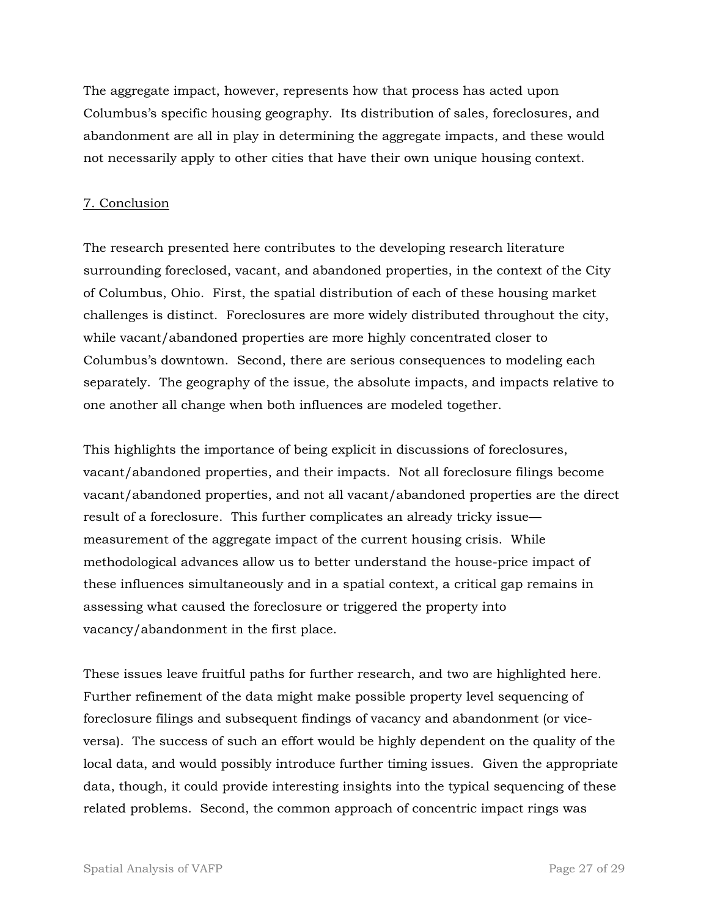The aggregate impact, however, represents how that process has acted upon Columbus's specific housing geography. Its distribution of sales, foreclosures, and abandonment are all in play in determining the aggregate impacts, and these would not necessarily apply to other cities that have their own unique housing context.

## 7. Conclusion

The research presented here contributes to the developing research literature surrounding foreclosed, vacant, and abandoned properties, in the context of the City of Columbus, Ohio. First, the spatial distribution of each of these housing market challenges is distinct. Foreclosures are more widely distributed throughout the city, while vacant/abandoned properties are more highly concentrated closer to Columbus's downtown. Second, there are serious consequences to modeling each separately. The geography of the issue, the absolute impacts, and impacts relative to one another all change when both influences are modeled together.

This highlights the importance of being explicit in discussions of foreclosures, vacant/abandoned properties, and their impacts. Not all foreclosure filings become vacant/abandoned properties, and not all vacant/abandoned properties are the direct result of a foreclosure. This further complicates an already tricky issue measurement of the aggregate impact of the current housing crisis. While methodological advances allow us to better understand the house-price impact of these influences simultaneously and in a spatial context, a critical gap remains in assessing what caused the foreclosure or triggered the property into vacancy/abandonment in the first place.

These issues leave fruitful paths for further research, and two are highlighted here. Further refinement of the data might make possible property level sequencing of foreclosure filings and subsequent findings of vacancy and abandonment (or viceversa). The success of such an effort would be highly dependent on the quality of the local data, and would possibly introduce further timing issues. Given the appropriate data, though, it could provide interesting insights into the typical sequencing of these related problems. Second, the common approach of concentric impact rings was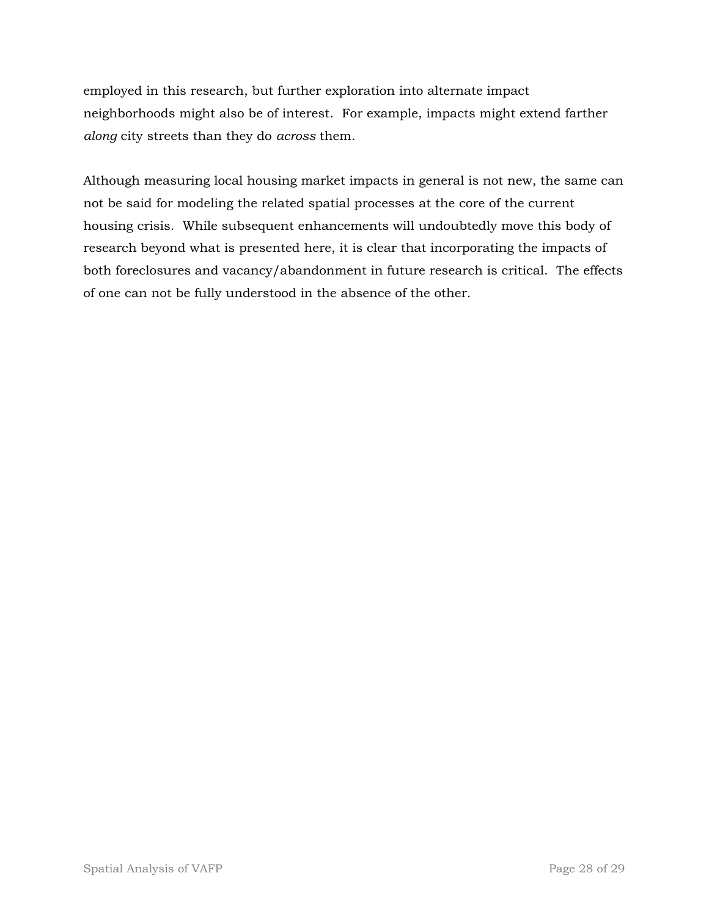employed in this research, but further exploration into alternate impact neighborhoods might also be of interest. For example, impacts might extend farther *along* city streets than they do *across* them.

Although measuring local housing market impacts in general is not new, the same can not be said for modeling the related spatial processes at the core of the current housing crisis. While subsequent enhancements will undoubtedly move this body of research beyond what is presented here, it is clear that incorporating the impacts of both foreclosures and vacancy/abandonment in future research is critical. The effects of one can not be fully understood in the absence of the other.